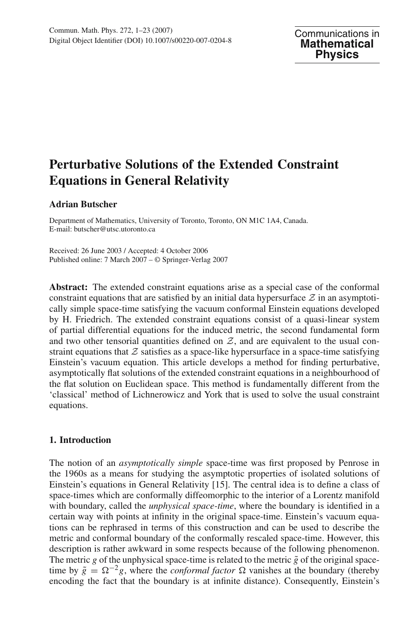# **Perturbative Solutions of the Extended Constraint Equations in General Relativity**

## **Adrian Butscher**

Department of Mathematics, University of Toronto, Toronto, ON M1C 1A4, Canada. E-mail: butscher@utsc.utoronto.ca

Received: 26 June 2003 / Accepted: 4 October 2006 Published online: 7 March 2007 – © Springer-Verlag 2007

**Abstract:** The extended constraint equations arise as a special case of the conformal constraint equations that are satisfied by an initial data hypersurface  $\mathcal Z$  in an asymptotically simple space-time satisfying the vacuum conformal Einstein equations developed by H. Friedrich. The extended constraint equations consist of a quasi-linear system of partial differential equations for the induced metric, the second fundamental form and two other tensorial quantities defined on  $Z$ , and are equivalent to the usual constraint equations that  $Z$  satisfies as a space-like hypersurface in a space-time satisfying Einstein's vacuum equation. This article develops a method for finding perturbative, asymptotically flat solutions of the extended constraint equations in a neighbourhood of the flat solution on Euclidean space. This method is fundamentally different from the 'classical' method of Lichnerowicz and York that is used to solve the usual constraint equations.

## **1. Introduction**

The notion of an *asymptotically simple* space-time was first proposed by Penrose in the 1960s as a means for studying the asymptotic properties of isolated solutions of Einstein's equations in General Relativity [15]. The central idea is to define a class of space-times which are conformally diffeomorphic to the interior of a Lorentz manifold with boundary, called the *unphysical space-time*, where the boundary is identified in a certain way with points at infinity in the original space-time. Einstein's vacuum equations can be rephrased in terms of this construction and can be used to describe the metric and conformal boundary of the conformally rescaled space-time. However, this description is rather awkward in some respects because of the following phenomenon. The metric *g* of the unphysical space-time is related to the metric  $\tilde{g}$  of the original spacetime by  $\tilde{g} = \Omega^{-2}g$ , where the *conformal factor*  $\Omega$  vanishes at the boundary (thereby encoding the fact that the boundary is at infinite distance). Consequently, Einstein's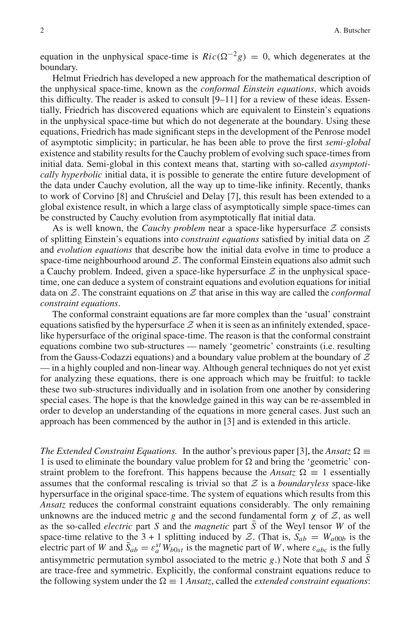equation in the unphysical space-time is  $Ric(\Omega^{-2}g) = 0$ , which degenerates at the boundary.

Helmut Friedrich has developed a new approach for the mathematical description of the unphysical space-time, known as the *conformal Einstein equations*, which avoids this difficulty. The reader is asked to consult  $[9-11]$  for a review of these ideas. Essentially, Friedrich has discovered equations which are equivalent to Einstein's equations in the unphysical space-time but which do not degenerate at the boundary. Using these equations, Friedrich has made significant steps in the development of the Penrose model of asymptotic simplicity; in particular, he has been able to prove the first *semi-global* existence and stability results for the Cauchy problem of evolving such space-times from initial data. Semi-global in this context means that, starting with so-called *asymptotically hyperbolic* initial data, it is possible to generate the entire future development of the data under Cauchy evolution, all the way up to time-like infinity. Recently, thanks to work of Corvino [8] and Chrusciel and Delay [7], this result has been extended to a global existence result, in which a large class of asymptotically simple space-times can be constructed by Cauchy evolution from asymptotically flat initial data.

As is well known, the *Cauchy problem* near a space-like hypersurface *Z* consists of splitting Einstein's equations into *constraint equations* satisfied by initial data on *Z* and *evolution equations* that describe how the initial data evolve in time to produce a space-time neighbourhood around  $Z$ . The conformal Einstein equations also admit such a Cauchy problem. Indeed, given a space-like hypersurface  $Z$  in the unphysical spacetime, one can deduce a system of constraint equations and evolution equations for initial data on *Z*. The constraint equations on *Z* that arise in this way are called the *conformal constraint equations*.

The conformal constraint equations are far more complex than the 'usual' constraint equations satisfied by the hypersurface  $Z$  when it is seen as an infinitely extended, spacelike hypersurface of the original space-time. The reason is that the conformal constraint equations combine two sub-structures — namely 'geometric' constraints (i.e. resulting from the Gauss-Codazzi equations) and a boundary value problem at the boundary of *Z* — in a highly coupled and non-linear way. Although general techniques do not yet exist for analyzing these equations, there is one approach which may be fruitful: to tackle these two sub-structures individually and in isolation from one another by considering special cases. The hope is that the knowledge gained in this way can be re-assembled in order to develop an understanding of the equations in more general cases. Just such an approach has been commenced by the author in [3] and is extended in this article.

*The Extended Constraint Equations.* In the author's previous paper [3], the *Ansatz*  $\Omega \equiv$ 1 is used to eliminate the boundary value problem for  $\Omega$  and bring the 'geometric' constraint problem to the forefront. This happens because the *Ansatz*  $\Omega \equiv 1$  essentially assumes that the conformal rescaling is trivial so that *Z* is a *boundaryless* space-like hypersurface in the original space-time. The system of equations which results from this *Ansatz* reduces the conformal constraint equations considerably. The only remaining unknowns are the induced metric *g* and the second fundamental form  $\chi$  of  $\mathcal{Z}$ , as well as the so-called *electric* part *S* and the *magnetic* part *S* of the Weyl tensor *W* of the space-time relative to the 3 + 1 splitting induced by  $Z$ . (That is,  $S_{ab} = W_{a00b}$  is the electric part of *W* and  $\bar{S}_{ab} = \varepsilon_a^{st} W_{b0st}$  is the magnetic part of *W*, where  $\varepsilon_{abc}$  is the fully antisymmetric permutation symbol associated to the metric  $g$ .) Note that both *S* and *S* are trace-free and symmetric. Explicitly, the conformal constraint equations reduce to the following system under the  $\Omega \equiv 1$  *Ansatz*, called the *extended constraint equations*: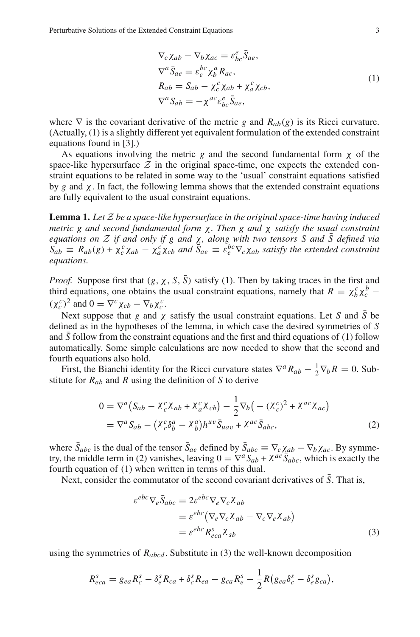$$
\nabla_c \chi_{ab} - \nabla_b \chi_{ac} = \varepsilon_{bc}^e \bar{S}_{ae},
$$
  
\n
$$
\nabla^a \bar{S}_{ae} = \varepsilon_e^{bc} \chi_b^a R_{ac},
$$
  
\n
$$
R_{ab} = S_{ab} - \chi_c^c \chi_{ab} + \chi_a^c \chi_{cb},
$$
  
\n
$$
\nabla^a S_{ab} = -\chi^{ac} \varepsilon_{bc}^e \bar{S}_{ae},
$$
\n(1)

where  $\nabla$  is the covariant derivative of the metric *g* and  $R_{ab}(g)$  is its Ricci curvature. (Actually, (1) is a slightly different yet equivalent formulation of the extended constraint equations found in [3].)

As equations involving the metric *g* and the second fundamental form χ of the space-like hypersurface  $Z$  in the original space-time, one expects the extended constraint equations to be related in some way to the 'usual' constraint equations satisfied by *g* and χ. In fact, the following lemma shows that the extended constraint equations are fully equivalent to the usual constraint equations.

**Lemma 1.** *Let Z be a space-like hypersurface in the original space-time having induced metric g and second fundamental form* χ*. Then g and* χ *satisfy the usual constraint equations on*  $\mathcal Z$  *if and only if g and*  $\chi$ *, along with two tensors S and*  $\bar{S}$  *defined via*  $S_{ab} \equiv R_{ab}(g) + \chi_c^c \chi_{ab} - \chi_a^c \chi_{cb}$  *and*  $\tilde{S}_{ae} \equiv \tilde{e}_e^{bc} \nabla_c \chi_{ab}$  *satisfy the extended constraint equations.*

*Proof.* Suppose first that  $(g, \chi, S, \overline{S})$  satisfy (1). Then by taking traces in the first and third equations, one obtains the usual constraint equations, namely that  $R = \chi_b^c \chi_c^b$  −  $(\chi_c^c)^2$  and  $0 = \nabla^c \chi_{cb} - \nabla_b \chi_c^c$ .

Next suppose that *g* and  $\chi$  satisfy the usual constraint equations. Let *S* and  $\overline{S}$  be defined as in the hypotheses of the lemma, in which case the desired symmetries of *S* and *S* follow from the constraint equations and the first and third equations of (1) follow automatically. Some simple calculations are now needed to show that the second and fourth equations also hold.

First, the Bianchi identity for the Ricci curvature states  $\nabla^a R_{ab} - \frac{1}{2} \nabla_b R = 0$ . Substitute for *Rab* and *R* using the definition of *S* to derive

$$
0 = \nabla^a \left( S_{ab} - \chi_c^c \chi_{ab} + \chi_a^c \chi_{cb} \right) - \frac{1}{2} \nabla_b \left( - (\chi_c^c)^2 + \chi^{ac} \chi_{ac} \right)
$$
  
=  $\nabla^a S_{ab} - (\chi_c^c \delta_b^a - \chi_b^a) h^{uv} \bar{S}_{uav} + \chi^{ac} \bar{S}_{abc},$  (2)

where  $\bar{S}_{abc}$  is the dual of the tensor  $\bar{S}_{ae}$  defined by  $\bar{S}_{abc} \equiv \nabla_c \chi_{ab} - \nabla_b \chi_{ac}$ . By symmetry, the middle term in (2) vanishes, leaving  $0 = \nabla^a S_{ab} + \chi^{ac} \overline{S}_{abc}$ , which is exactly the fourth equation of (1) when written in terms of this dual.

Next, consider the commutator of the second covariant derivatives of  $\overline{S}$ . That is,

$$
\varepsilon^{ebc} \nabla_e \bar{S}_{abc} = 2\varepsilon^{ebc} \nabla_e \nabla_c \chi_{ab}
$$
  
=  $\varepsilon^{ebc} (\nabla_e \nabla_c \chi_{ab} - \nabla_c \nabla_e \chi_{ab})$   
=  $\varepsilon^{ebc} R_{eca}^s \chi_{sb}$  (3)

using the symmetries of  $R_{abcd}$ . Substitute in (3) the well-known decomposition

$$
R_{eca}^s = g_{ea}R_c^s - \delta_e^s R_{ca} + \delta_c^s R_{ea} - g_{ca}R_e^s - \frac{1}{2}R(g_{ea}\delta_c^s - \delta_e^s g_{ca}),
$$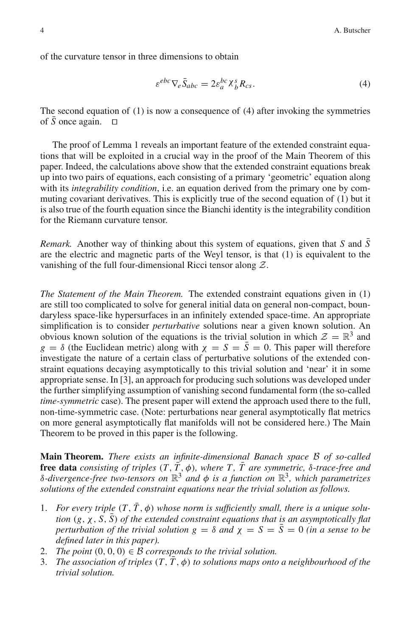of the curvature tensor in three dimensions to obtain

$$
\varepsilon^{ebc} \nabla_e \bar{S}_{abc} = 2\varepsilon_a^{bc} \chi_b^s R_{cs}.
$$
 (4)

The second equation of (1) is now a consequence of (4) after invoking the symmetries of  $\bar{S}$  once again.  $\square$ 

The proof of Lemma 1 reveals an important feature of the extended constraint equations that will be exploited in a crucial way in the proof of the Main Theorem of this paper. Indeed, the calculations above show that the extended constraint equations break up into two pairs of equations, each consisting of a primary 'geometric' equation along with its *integrability condition*, i.e. an equation derived from the primary one by commuting covariant derivatives. This is explicitly true of the second equation of (1) but it is also true of the fourth equation since the Bianchi identity is the integrability condition for the Riemann curvature tensor.

*Remark.* Another way of thinking about this system of equations, given that *S* and  $\overline{S}$ are the electric and magnetic parts of the Weyl tensor, is that (1) is equivalent to the vanishing of the full four-dimensional Ricci tensor along *Z*.

*The Statement of the Main Theorem.* The extended constraint equations given in (1) are still too complicated to solve for general initial data on general non-compact, boundaryless space-like hypersurfaces in an infinitely extended space-time. An appropriate simplification is to consider *perturbative* solutions near a given known solution. An obvious known solution of the equations is the trivial solution in which  $\mathcal{Z} = \mathbb{R}^3$  and  $g = \delta$  (the Euclidean metric) along with  $\chi = S = \overline{S} = 0$ . This paper will therefore investigate the nature of a certain class of perturbative solutions of the extended constraint equations decaying asymptotically to this trivial solution and 'near' it in some appropriate sense. In [3], an approach for producing such solutions was developed under the further simplifying assumption of vanishing second fundamental form (the so-called *time-symmetric* case). The present paper will extend the approach used there to the full, non-time-symmetric case. (Note: perturbations near general asymptotically flat metrics on more general asymptotically flat manifolds will not be considered here.) The Main Theorem to be proved in this paper is the following.

**Main Theorem.** *There exists an infinite-dimensional Banach space B of so-called* **free data** *consisting of triples*  $(T, \overline{T}, \phi)$ *, where*  $T, \overline{T}$  *are symmetric,*  $\delta$ -trace-free and δ*-divergence-free two-tensors on* R<sup>3</sup> *and* φ *is a function on* R3*, which parametrizes solutions of the extended constraint equations near the trivial solution as follows.*

- 1. *For every triple*  $(T, \overline{T}, \phi)$  whose norm is sufficiently small, there is a unique solu*tion*  $(g, \chi, S, S)$  *of the extended constraint equations that is an asymptotically flat perturbation of the trivial solution*  $g = \delta$  *and*  $\chi = S = S = 0$  *(in a sense to be defined later in this paper).*
- 2. *The point*  $(0, 0, 0) \in \mathcal{B}$  *corresponds to the trivial solution.*
- 3. *The association of triples*  $(T, \overline{T}, \phi)$  *to solutions maps onto a neighbourhood of the trivial solution.*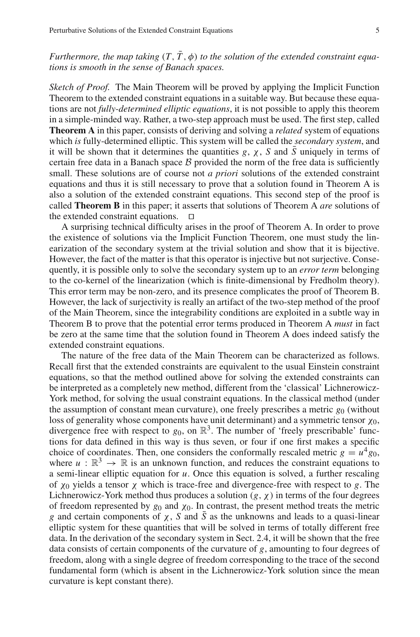## *Furthermore, the map taking*  $(T, \overline{T}, \phi)$  *to the solution of the extended constraint equations is smooth in the sense of Banach spaces.*

*Sketch of Proof.* The Main Theorem will be proved by applying the Implicit Function Theorem to the extended constraint equations in a suitable way. But because these equations are not *fully-determined elliptic equations*, it is not possible to apply this theorem in a simple-minded way. Rather, a two-step approach must be used. The first step, called **Theorem A** in this paper, consists of deriving and solving a *related* system of equations which *is* fully-determined elliptic. This system will be called the *secondary system*, and it will be shown that it determines the quantities *g*,  $\chi$ , *S* and  $\bar{S}$  uniquely in terms of certain free data in a Banach space *B* provided the norm of the free data is sufficiently small. These solutions are of course not *a priori* solutions of the extended constraint equations and thus it is still necessary to prove that a solution found in Theorem A is also a solution of the extended constraint equations. This second step of the proof is called **Theorem B** in this paper; it asserts that solutions of Theorem A *are* solutions of the extended constraint equations.  $\Box$ 

A surprising technical difficulty arises in the proof of Theorem A. In order to prove the existence of solutions via the Implicit Function Theorem, one must study the linearization of the secondary system at the trivial solution and show that it is bijective. However, the fact of the matter is that this operator is injective but not surjective. Consequently, it is possible only to solve the secondary system up to an *error term* belonging to the co-kernel of the linearization (which is finite-dimensional by Fredholm theory). This error term may be non-zero, and its presence complicates the proof of Theorem B. However, the lack of surjectivity is really an artifact of the two-step method of the proof of the Main Theorem, since the integrability conditions are exploited in a subtle way in Theorem B to prove that the potential error terms produced in Theorem A *must* in fact be zero at the same time that the solution found in Theorem A does indeed satisfy the extended constraint equations.

The nature of the free data of the Main Theorem can be characterized as follows. Recall first that the extended constraints are equivalent to the usual Einstein constraint equations, so that the method outlined above for solving the extended constraints can be interpreted as a completely new method, different from the 'classical' Lichnerowicz-York method, for solving the usual constraint equations. In the classical method (under the assumption of constant mean curvature), one freely prescribes a metric  $g_0$  (without loss of generality whose components have unit determinant) and a symmetric tensor  $\chi_0$ , divergence free with respect to  $g_0$ , on  $\mathbb{R}^3$ . The number of 'freely prescribable' functions for data defined in this way is thus seven, or four if one first makes a specific choice of coordinates. Then, one considers the conformally rescaled metric  $g = u^4 g_0$ , where  $u : \mathbb{R}^3 \to \mathbb{R}$  is an unknown function, and reduces the constraint equations to a semi-linear elliptic equation for *u*. Once this equation is solved, a further rescaling of χ<sup>0</sup> yields a tensor χ which is trace-free and divergence-free with respect to *g*. The Lichnerowicz-York method thus produces a solution  $(g, \chi)$  in terms of the four degrees of freedom represented by  $g_0$  and  $\chi_0$ . In contrast, the present method treats the metric *g* and certain components of  $\chi$ , *S* and  $\overline{S}$  as the unknowns and leads to a quasi-linear elliptic system for these quantities that will be solved in terms of totally different free data. In the derivation of the secondary system in Sect. 2.4, it will be shown that the free data consists of certain components of the curvature of *g*, amounting to four degrees of freedom, along with a single degree of freedom corresponding to the trace of the second fundamental form (which is absent in the Lichnerowicz-York solution since the mean curvature is kept constant there).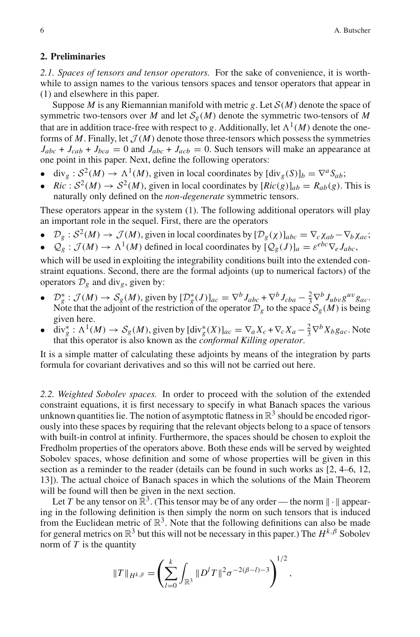#### **2. Preliminaries**

*2.1. Spaces of tensors and tensor operators.* For the sake of convenience, it is worthwhile to assign names to the various tensors spaces and tensor operators that appear in (1) and elsewhere in this paper.

Suppose *M* is any Riemannian manifold with metric *g*. Let *S*(*M*) denote the space of symmetric two-tensors over *M* and let  $S_g(M)$  denote the symmetric two-tensors of *M* that are in addition trace-free with respect to *g*. Additionally, let  $\Lambda^1(M)$  denote the oneforms of *M*. Finally, let  $\mathcal{J}(M)$  denote those three-tensors which possess the symmetries  $J_{abc} + J_{cab} + J_{bca} = 0$  and  $J_{abc} + J_{acb} = 0$ . Such tensors will make an appearance at one point in this paper. Next, define the following operators:

- div<sub>g</sub>:  $S^2(M) \to \Lambda^1(M)$ , given in local coordinates by  $[\text{div}_g(S)]_b = \nabla^a S_{ab}$ ;
- *Ric* :  $S^2(M) \rightarrow S^2(M)$ , given in local coordinates by  $[Ric(g)]_{ab} = R_{ab}(g)$ . This is naturally only defined on the *non-degenerate* symmetric tensors.

These operators appear in the system (1). The following additional operators will play an important role in the sequel. First, there are the operators

- $\mathcal{D}_g : S^2(M) \to \mathcal{J}(M)$ , given in local coordinates by  $[\mathcal{D}_g(\chi)]_{abc} = \nabla_c \chi_{ab} \nabla_b \chi_{ac};$
- $\mathcal{Q}_{g}: \mathcal{J}(M) \to \Lambda^{1}(M)$  defined in local coordinates by  $[\mathcal{Q}_{g}(J)]_{a} = \varepsilon^{ebc} \nabla_{e} J_{abc}$ ,

which will be used in exploiting the integrability conditions built into the extended constraint equations. Second, there are the formal adjoints (up to numerical factors) of the operators  $\mathcal{D}_g$  and div<sub>g</sub>, given by:

- $\mathcal{D}_g^* : \mathcal{J}(M) \to \mathcal{S}_g(M)$ , given by  $[\mathcal{D}_g^*(J)]_{ac} = \nabla^b J_{abc} + \nabla^b J_{cba} \frac{2}{3} \nabla^b J_{ubv} g^{uv} g_{ac}$ . Note that the adjoint of the restriction of the operator  $\mathcal{D}_g$  to the space  $\mathcal{S}_g(M)$  is being given here.
- $\bullet$  div<sup>\*</sup><sub>g</sub>:  $\Lambda^1(M) \to S_g(M)$ , given by  $\left[\text{div}_g^*(X)\right]_{ac} = \nabla_a X_c + \nabla_c X_a \frac{2}{3} \nabla^b X_b g_{ac}$ . Note that this operator is also known as the *conformal Killing operator*.

It is a simple matter of calculating these adjoints by means of the integration by parts formula for covariant derivatives and so this will not be carried out here.

*2.2. Weighted Sobolev spaces.* In order to proceed with the solution of the extended constraint equations, it is first necessary to specify in what Banach spaces the various unknown quantities lie. The notion of asymptotic flatness in  $\mathbb{R}^3$  should be encoded rigorously into these spaces by requiring that the relevant objects belong to a space of tensors with built-in control at infinity. Furthermore, the spaces should be chosen to exploit the Fredholm properties of the operators above. Both these ends will be served by weighted Sobolev spaces, whose definition and some of whose properties will be given in this section as a reminder to the reader (details can be found in such works as [2, 4–6, 12, 13]). The actual choice of Banach spaces in which the solutions of the Main Theorem will be found will then be given in the next section.

Let *T* be any tensor on  $\mathbb{R}^3$ . (This tensor may be of any order — the norm  $\|\cdot\|$  appearing in the following definition is then simply the norm on such tensors that is induced from the Euclidean metric of  $\mathbb{R}^3$ . Note that the following definitions can also be made for general metrics on  $\mathbb{R}^3$  but this will not be necessary in this paper.) The  $H^{k,\beta}$  Sobolev norm of *T* is the quantity

$$
||T||_{H^{k,\beta}} = \left(\sum_{l=0}^k \int_{\mathbb{R}^3} ||D^l T||^2 \sigma^{-2(\beta-l)-3}\right)^{1/2},
$$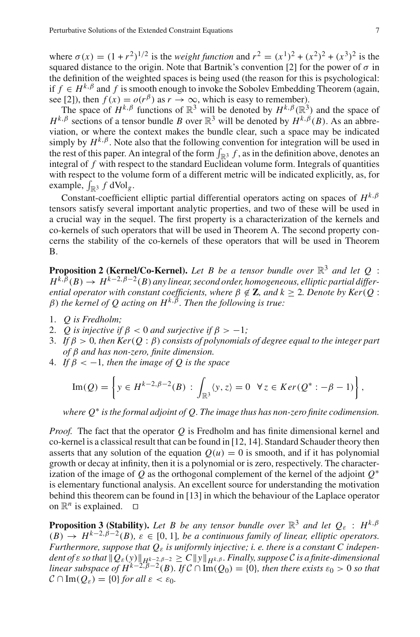where  $\sigma(x) = (1 + r^2)^{1/2}$  is the *weight function* and  $r^2 = (x^1)^2 + (x^2)^2 + (x^3)^2$  is the squared distance to the origin. Note that Bartnik's convention [2] for the power of  $\sigma$  in the definition of the weighted spaces is being used (the reason for this is psychological: if  $f \in H^{k,\beta}$  and f is smooth enough to invoke the Sobolev Embedding Theorem (again, see [2]), then  $f(x) = o(r^{\beta})$  as  $r \to \infty$ , which is easy to remember).

The space of  $H^{k,\beta}$  functions of  $\mathbb{R}^3$  will be denoted by  $H^{k,\beta}(\mathbb{R}^3)$  and the space of *H<sup>k,β</sup>* sections of a tensor bundle *B* over  $\mathbb{R}^3$  will be denoted by  $H^{k, \beta}(B)$ . As an abbreviation, or where the context makes the bundle clear, such a space may be indicated simply by  $H^{k,\beta}$ . Note also that the following convention for integration will be used in the rest of this paper. An integral of the form  $\int_{\mathbb{R}^3} f$ , as in the definition above, denotes an integral of *f* with respect to the standard Euclidean volume form. Integrals of quantities with respect to the volume form of a different metric will be indicated explicitly, as, for example,  $\int_{\mathbb{R}^3} f dVol_g$ .

Constant-coefficient elliptic partial differential operators acting on spaces of  $H^{k,\beta}$ tensors satisfy several important analytic properties, and two of these will be used in a crucial way in the sequel. The first property is a characterization of the kernels and co-kernels of such operators that will be used in Theorem A. The second property concerns the stability of the co-kernels of these operators that will be used in Theorem B.

**Proposition 2 (Kernel/Co-Kernel).** Let B be a tensor bundle over  $\mathbb{R}^3$  and let Q :  $H^{k,\beta}(B) \to H^{k-2,\beta-2}(B)$  *any linear, second order, homogeneous, elliptic partial differential operator with constant coefficients, where*  $\beta \notin \mathbb{Z}$ *, and*  $k \geq 2$ *. Denote by Ker*( $Q$  :  $β)$  the kernel of *O* acting on  $H^{k, \beta}$ . Then the following is true:

- 1. *Q is Fredholm;*
- 2. *Q* is injective if  $\beta$  < 0 *and surjective if*  $\beta$  > -1*;*
- 3. *If* β > 0*, then Ker*(*Q* : β) *consists of polynomials of degree equal to the integer part of* β *and has non-zero, finite dimension.*
- 4. *If*  $\beta$  < -1, then the image of Q is the space

$$
\operatorname{Im}(Q) = \left\{ y \in H^{k-2,\beta-2}(B) : \int_{\mathbb{R}^3} \langle y, z \rangle = 0 \quad \forall z \in \operatorname{Ker}(Q^* : -\beta - 1) \right\},\,
$$

*where Q*<sup>∗</sup> *is the formal adjoint of Q. The image thus has non-zero finite codimension.*

*Proof.* The fact that the operator *Q* is Fredholm and has finite dimensional kernel and co-kernel is a classical result that can be found in [12, 14]. Standard Schauder theory then asserts that any solution of the equation  $Q(u) = 0$  is smooth, and if it has polynomial growth or decay at infinity, then it is a polynomial or is zero, respectively. The characterization of the image of *Q* as the orthogonal complement of the kernel of the adjoint *Q*<sup>∗</sup> is elementary functional analysis. An excellent source for understanding the motivation behind this theorem can be found in [13] in which the behaviour of the Laplace operator on  $\mathbb{R}^n$  is explained.  $\Box$ 

**Proposition 3 (Stability).** Let B be any tensor bundle over  $\mathbb{R}^3$  and let  $Q_{\varepsilon}$  :  $H^{k,\beta}$  $(B) \rightarrow H^{k-2,\beta-2}(B), \varepsilon \in [0,1],$  be a continuous family of linear, elliptic operators. *Furthermore, suppose that Q*<sup>ε</sup> *is uniformly injective; i. e. there is a constant C independent of*  $\varepsilon$  *so that*  $\|Q_{\varepsilon}(y)\|_{H^{k-2,\beta-2}} \geq C \|y\|_{H^{k,\beta}}$ *. Finally, suppose*  $\mathcal C$  *is a finite-dimensional linear subspace of*  $H^{k-2,\beta-2}(B)$ *. If*  $C \cap Im(Q_0) = \{0\}$ *, then there exists*  $\varepsilon_0 > 0$  *so that*  $\mathcal{C} \cap \text{Im}(Q_{\varepsilon}) = \{0\}$  *for all*  $\varepsilon < \varepsilon_0$ *.*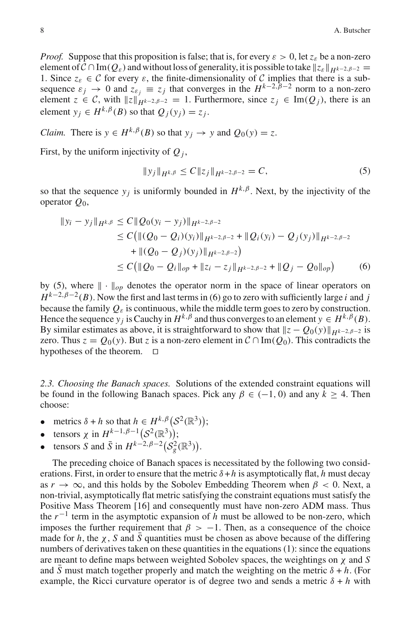*Proof.* Suppose that this proposition is false; that is, for every  $\varepsilon > 0$ , let  $z_{\varepsilon}$  be a non-zero element of  $\mathcal{C} \cap \text{Im}(Q_{\varepsilon})$  and without loss of generality, it is possible to take  $||z_{\varepsilon}||_{H^{k-2,\beta-2}} =$ 1. Since  $z_{\varepsilon} \in \mathcal{C}$  for every  $\varepsilon$ , the finite-dimensionality of  $\mathcal{C}$  implies that there is a subsequence  $\varepsilon_j \to 0$  and  $z_{\varepsilon_j} \equiv z_j$  that converges in the  $H^{k-2,\beta-2}$  norm to a non-zero element  $z \in \mathcal{C}$ , with  $||z||_{H^{k-2,\beta-2}} = 1$ . Furthermore, since  $z_i \in \text{Im}(Q_i)$ , there is an element  $y_i \in H^{k,\beta}(B)$  so that  $Q_i(y_i) = z_i$ .

*Claim.* There is  $y \in H^{k,\beta}(B)$  so that  $y_i \to y$  and  $Q_0(y) = z$ .

First, by the uniform injectivity of  $Q_i$ ,

$$
||y_j||_{H^{k,\beta}} \le C ||z_j||_{H^{k-2,\beta-2}} = C,
$$
\n(5)

so that the sequence  $y_i$  is uniformly bounded in  $H^{k,\beta}$ . Next, by the injectivity of the operator *Q*0,

$$
||y_i - y_j||_{H^{k,\beta}} \le C||Q_0(y_i - y_j)||_{H^{k-2,\beta-2}}
$$
  
\n
$$
\le C(||(Q_0 - Q_i)(y_i)||_{H^{k-2,\beta-2}} + ||Q_i(y_i) - Q_j(y_j)||_{H^{k-2,\beta-2}}
$$
  
\n
$$
+ ||(Q_0 - Q_j)(y_j)||_{H^{k-2,\beta-2}})
$$
  
\n
$$
\le C(||Q_0 - Q_i||_{op} + ||z_i - z_j||_{H^{k-2,\beta-2}} + ||Q_j - Q_0||_{op})
$$
 (6)

by (5), where  $\|\cdot\|_{op}$  denotes the operator norm in the space of linear operators on  $H^{k-2,\beta-2}(B)$ . Now the first and last terms in (6) go to zero with sufficiently large *i* and *j* because the family  $Q_{\varepsilon}$  is continuous, while the middle term goes to zero by construction. Hence the sequence  $y_i$  is Cauchy in  $H^{k, \beta}$  and thus converges to an element  $y \in H^{k, \beta}(B)$ . By similar estimates as above, it is straightforward to show that  $\|z - Q_0(y)\|_{H^k-2,\beta-2}$  is zero. Thus  $z = Q_0(y)$ . But *z* is a non-zero element in  $C \cap Im(Q_0)$ . This contradicts the hypotheses of the theorem.  $\square$ 

*2.3. Choosing the Banach spaces.* Solutions of the extended constraint equations will be found in the following Banach spaces. Pick any  $\beta \in (-1, 0)$  and any  $k > 4$ . Then choose:

- metrics  $\delta + h$  so that  $h \in H^{k,\beta} (S^2(\mathbb{R}^3));$
- tensors  $\chi$  in  $H^{k-1,\beta-1}$   $(S^2(\mathbb{R}^3));$
- tensors *S* and  $\bar{S}$  in  $H^{k-2,\beta-2}(S_g^2(\mathbb{R}^3))$ .

The preceding choice of Banach spaces is necessitated by the following two considerations. First, in order to ensure that the metric  $\delta + h$  is asymptotically flat, *h* must decay as  $r \to \infty$ , and this holds by the Sobolev Embedding Theorem when  $\beta < 0$ . Next, a non-trivial, asymptotically flat metric satisfying the constraint equations must satisfy the Positive Mass Theorem [16] and consequently must have non-zero ADM mass. Thus the  $r^{-1}$  term in the asymptotic expansion of *h* must be allowed to be non-zero, which imposes the further requirement that  $\beta > -1$ . Then, as a consequence of the choice made for *h*, the  $\chi$ , *S* and *S* quantities must be chosen as above because of the differing numbers of derivatives taken on these quantities in the equations (1): since the equations are meant to define maps between weighted Sobolev spaces, the weightings on χ and *S* and *S* must match together properly and match the weighting on the metric  $\delta + h$ . (For example, the Ricci curvature operator is of degree two and sends a metric  $\delta + h$  with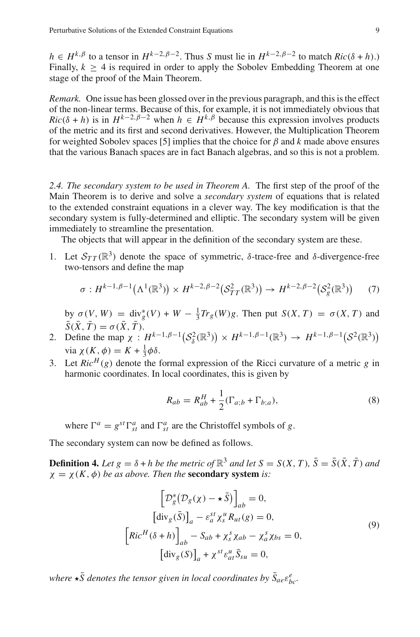*h* ∈ *H*<sup>*k*, $\beta$ </sup> to a tensor in *H*<sup>*k*−2, $\beta$ −2. Thus *S* must lie in *H*<sup>*k*−2, $\beta$ −2 to match *Ric*( $\delta$  + *h*).)</sup></sup> Finally,  $k \geq 4$  is required in order to apply the Sobolev Embedding Theorem at one stage of the proof of the Main Theorem.

*Remark.* One issue has been glossed over in the previous paragraph, and this is the effect of the non-linear terms. Because of this, for example, it is not immediately obvious that  $Ric(\delta + h)$  is in  $H^{k-2,\beta-2}$  when  $h \in H^{k,\beta}$  because this expression involves products of the metric and its first and second derivatives. However, the Multiplication Theorem for weighted Sobolev spaces [5] implies that the choice for  $\beta$  and  $k$  made above ensures that the various Banach spaces are in fact Banach algebras, and so this is not a problem.

*2.4. The secondary system to be used in Theorem A.* The first step of the proof of the Main Theorem is to derive and solve a *secondary system* of equations that is related to the extended constraint equations in a clever way. The key modification is that the secondary system is fully-determined and elliptic. The secondary system will be given immediately to streamline the presentation.

The objects that will appear in the definition of the secondary system are these.

1. Let  $S_{TT}(\mathbb{R}^3)$  denote the space of symmetric, δ-trace-free and δ-divergence-free two-tensors and define the map

$$
\sigma: H^{k-1,\beta-1}(\Lambda^1(\mathbb{R}^3)) \times H^{k-2,\beta-2}(\mathcal{S}_{TT}^2(\mathbb{R}^3)) \to H^{k-2,\beta-2}(\mathcal{S}_{g}^2(\mathbb{R}^3))
$$
 (7)

by  $\sigma(V, W) = \text{div}_g^*(V) + W - \frac{1}{3}Tr_g(W)g$ . Then put  $S(X, T) = \sigma(X, T)$  and  $\bar{S}(\bar{X}, \bar{T}) = \sigma(\bar{X}, \bar{T}).$ 

- 2. Define the map  $\chi: H^{k-1,\beta-1}(\mathcal{S}_{\delta}^2(\mathbb{R}^3)) \times H^{k-1,\beta-1}(\mathbb{R}^3) \to H^{k-1,\beta-1}(\mathcal{S}^2(\mathbb{R}^3))$ via  $\chi(K, \phi) = K + \frac{1}{3}\phi\delta$ .
- 3. Let  $Ric<sup>H</sup>(g)$  denote the formal expression of the Ricci curvature of a metric *g* in harmonic coordinates. In local coordinates, this is given by

$$
R_{ab} = R_{ab}^H + \frac{1}{2} (\Gamma_{a;b} + \Gamma_{b;a}),
$$
\n(8)

where  $\Gamma^a = g^{st} \Gamma^a_{st}$  and  $\Gamma^a_{st}$  are the Christoffel symbols of *g*.

The secondary system can now be defined as follows.

**Definition 4.** Let  $g = \delta + h$  be the metric of  $\mathbb{R}^3$  and let  $S = S(X, T)$ ,  $\overline{S} = \overline{S}(\overline{X}, \overline{T})$  and  $\chi = \chi(K, \phi)$  *be as above. Then the* **secondary system** *is:* 

$$
\left[\mathcal{D}_{g}^{*}(\mathcal{D}_{g}(\chi) - \star \bar{S})\right]_{ab} = 0,
$$
  
\n
$$
\left[\text{div}_{g}(\bar{S})\right]_{a} - \varepsilon_{a}^{st} \chi_{s}^{u} R_{ut}(g) = 0,
$$
  
\n
$$
\left[\text{Ric}^{H}(\delta + h)\right]_{ab} - S_{ab} + \chi_{s}^{s} \chi_{ab} - \chi_{a}^{s} \chi_{bs} = 0,
$$
  
\n
$$
\left[\text{div}_{g}(S)\right]_{a} + \chi^{st} \varepsilon_{at}^{u} \bar{S}_{su} = 0,
$$
\n(9)

where  $\star \bar{S}$  denotes the tensor given in local coordinates by  $\bar{S}_{ae}\varepsilon_{bc}^{e}$ .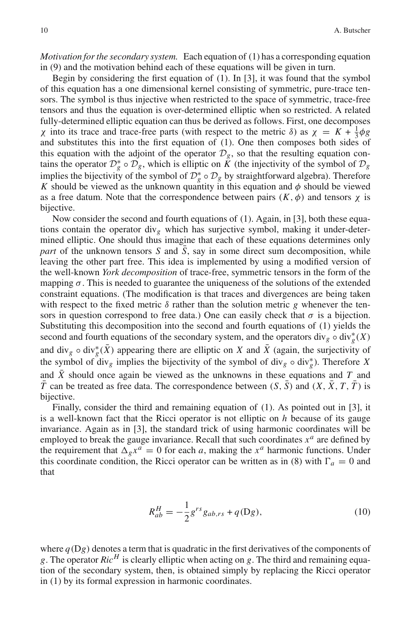*Motivation for the secondary system.* Each equation of (1) has a corresponding equation in (9) and the motivation behind each of these equations will be given in turn.

Begin by considering the first equation of (1). In [3], it was found that the symbol of this equation has a one dimensional kernel consisting of symmetric, pure-trace tensors. The symbol is thus injective when restricted to the space of symmetric, trace-free tensors and thus the equation is over-determined elliptic when so restricted. A related fully-determined elliptic equation can thus be derived as follows. First, one decomposes χ into its trace and trace-free parts (with respect to the metric δ) as χ = *K* + <sup>1</sup> <sup>3</sup>φ*g* and substitutes this into the first equation of (1). One then composes both sides of this equation with the adjoint of the operator  $\mathcal{D}_g$ , so that the resulting equation contains the operator  $D_g^* \circ D_g$ , which is elliptic on  $\tilde{K}$  (the injectivity of the symbol of  $D_g$ implies the bijectivity of the symbol of  $\mathcal{D}_{g}^{*} \circ \mathcal{D}_{g}$  by straightforward algebra). Therefore *K* should be viewed as the unknown quantity in this equation and  $\phi$  should be viewed as a free datum. Note that the correspondence between pairs  $(K, \phi)$  and tensors  $\chi$  is bijective.

Now consider the second and fourth equations of (1). Again, in [3], both these equations contain the operator div<sub>e</sub> which has surjective symbol, making it under-determined elliptic. One should thus imagine that each of these equations determines only *part* of the unknown tensors *S* and *S*, say in some direct sum decomposition, while leaving the other part free. This idea is implemented by using a modified version of the well-known *York decomposition* of trace-free, symmetric tensors in the form of the mapping  $\sigma$ . This is needed to guarantee the uniqueness of the solutions of the extended constraint equations. (The modification is that traces and divergences are being taken with respect to the fixed metric  $\delta$  rather than the solution metric *g* whenever the tensors in question correspond to free data.) One can easily check that  $\sigma$  is a bijection. Substituting this decomposition into the second and fourth equations of (1) yields the second and fourth equations of the secondary system, and the operators  $\text{div}_g \circ \text{div}_g^*(X)$ and div<sub>g</sub>  $\circ$  div<sup>\*</sup><sub>g</sub>( $\bar{X}$ ) appearing there are elliptic on *X* and  $\bar{X}$  (again, the surjectivity of the symbol of div<sub>g</sub> implies the bijectivity of the symbol of div<sub>g</sub>  $\circ$  div<sub>g</sub><sup>\*</sup>). Therefore *X* and  $\overline{X}$  should once again be viewed as the unknowns in these equations and  $T$  and  $\overline{T}$  can be treated as free data. The correspondence between  $(S, \overline{S})$  and  $(X, \overline{X}, T, \overline{T})$  is bijective.

Finally, consider the third and remaining equation of (1). As pointed out in [3], it is a well-known fact that the Ricci operator is not elliptic on *h* because of its gauge invariance. Again as in [3], the standard trick of using harmonic coordinates will be employed to break the gauge invariance. Recall that such coordinates  $x^a$  are defined by the requirement that  $\Delta_{g} x^{a} = 0$  for each *a*, making the  $x^{a}$  harmonic functions. Under this coordinate condition, the Ricci operator can be written as in (8) with  $\Gamma_a = 0$  and that

$$
R_{ab}^H = -\frac{1}{2}g^{rs}g_{ab,rs} + q(\text{D}g),\tag{10}
$$

where  $q(Dg)$  denotes a term that is quadratic in the first derivatives of the components of *g*. The operator  $Ric<sup>H</sup>$  is clearly elliptic when acting on *g*. The third and remaining equation of the secondary system, then, is obtained simply by replacing the Ricci operator in (1) by its formal expression in harmonic coordinates.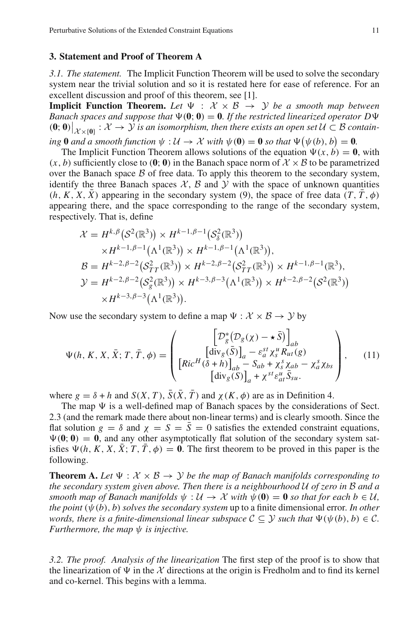#### **3. Statement and Proof of Theorem A**

*3.1. The statement.* The Implicit Function Theorem will be used to solve the secondary system near the trivial solution and so it is restated here for ease of reference. For an excellent discussion and proof of this theorem, see [1].

**Implicit Function Theorem.** Let  $\Psi : \mathcal{X} \times \mathcal{B} \rightarrow \mathcal{Y}$  be a smooth map between *Banach spaces and suppose that*  $\Psi(0; 0) = 0$ . If the restricted linearized operator  $D\Psi$ **(0**; **0**)  $|_{\mathcal{X}\times\{0\}}$  :  $\mathcal{X}\to\mathcal{Y}$  *is an isomorphism, then there exists an open set U* ⊂ *B contain-* $\lim_{M \to \infty} 0$  *and a smooth function*  $\psi : U \to \mathcal{X}$  *with*  $\psi(0) = 0$  *so that*  $\Psi(\psi(b), b) = 0$ .

The Implicit Function Theorem allows solutions of the equation  $\Psi(x, b) = 0$ , with  $(x, b)$  sufficiently close to  $(0, 0)$  in the Banach space norm of  $\mathcal{X} \times \mathcal{B}$  to be parametrized over the Banach space  $\beta$  of free data. To apply this theorem to the secondary system, identify the three Banach spaces  $X$ ,  $B$  and  $Y$  with the space of unknown quantities  $(h, K, X, \overline{X})$  appearing in the secondary system (9), the space of free data  $(T, \overline{T}, \phi)$ appearing there, and the space corresponding to the range of the secondary system, respectively. That is, define

$$
\mathcal{X} = H^{k,\beta}(\mathcal{S}^2(\mathbb{R}^3)) \times H^{k-1,\beta-1}(\mathcal{S}^2_{\delta}(\mathbb{R}^3)) \times H^{k-1,\beta-1}(\Lambda^1(\mathbb{R}^3)) \times H^{k-1,\beta-1}(\Lambda^1(\mathbb{R}^3)), \mathcal{B} = H^{k-2,\beta-2}(\mathcal{S}^2_{TT}(\mathbb{R}^3)) \times H^{k-2,\beta-2}(\mathcal{S}^2_{TT}(\mathbb{R}^3)) \times H^{k-1,\beta-1}(\mathbb{R}^3), \mathcal{Y} = H^{k-2,\beta-2}(\mathcal{S}^2_{g}(\mathbb{R}^3)) \times H^{k-3,\beta-3}(\Lambda^1(\mathbb{R}^3)) \times H^{k-2,\beta-2}(\mathcal{S}^2(\mathbb{R}^3)) \times H^{k-3,\beta-3}(\Lambda^1(\mathbb{R}^3)).
$$

Now use the secondary system to define a map  $\Psi : \mathcal{X} \times \mathcal{B} \rightarrow \mathcal{Y}$  by

$$
\Psi(h, K, X, \bar{X}; T, \bar{T}, \phi) = \begin{pmatrix} \left[ \mathcal{D}_g^*(\mathcal{D}_g(\chi) - \star \bar{S}) \right]_{ab} \\ \left[ \text{div}_g(\bar{S}) \right]_a - \varepsilon_a^{st} \chi_s^u R_{ut}(g) \\ \left[ Ric^H(\delta + h) \right]_{ab} - S_{ab} + \chi_s^s \chi_{ab} - \chi_a^s \chi_{bs} \\ \left[ \text{div}_g(S) \right]_a + \chi^{st} \varepsilon_{at}^{ut} \bar{S}_{su}. \end{pmatrix}, \quad (11)
$$

where  $g = \delta + h$  and  $S(X, T)$ ,  $\overline{S}(\overline{X}, \overline{T})$  and  $\chi(K, \phi)$  are as in Definition 4.

The map  $\Psi$  is a well-defined map of Banach spaces by the considerations of Sect. 2.3 (and the remark made there about non-linear terms) and is clearly smooth. Since the flat solution  $g = \delta$  and  $\chi = S = \overline{S} = 0$  satisfies the extended constraint equations,  $\Psi(\mathbf{0};\mathbf{0}) = \mathbf{0}$ , and any other asymptotically flat solution of the secondary system satisfies  $\Psi(h, K, X, \overline{X}; T, \overline{T}, \phi) = 0$ . The first theorem to be proved in this paper is the following.

**Theorem A.** Let  $\Psi : \mathcal{X} \times \mathcal{B} \rightarrow \mathcal{Y}$  be the map of Banach manifolds corresponding to *the secondary system given above. Then there is a neighbourhood U of zero in B and a smooth map of Banach manifolds*  $\psi : U \to \mathcal{X}$  *with*  $\psi(\mathbf{0}) = \mathbf{0}$  *so that for each b*  $\in \mathcal{U}$ *, the point*  $(\psi(b), b)$  *solves the secondary system* up to a finite dimensional error. In other *words, there is a finite-dimensional linear subspace*  $C \subseteq \mathcal{Y}$  *such that*  $\Psi(\psi(b), b) \in \mathcal{C}$ *. Furthermore, the map ψ is injective.* 

*3.2. The proof. Analysis of the linearization* The first step of the proof is to show that the linearization of  $\Psi$  in the  $\chi$  directions at the origin is Fredholm and to find its kernel and co-kernel. This begins with a lemma.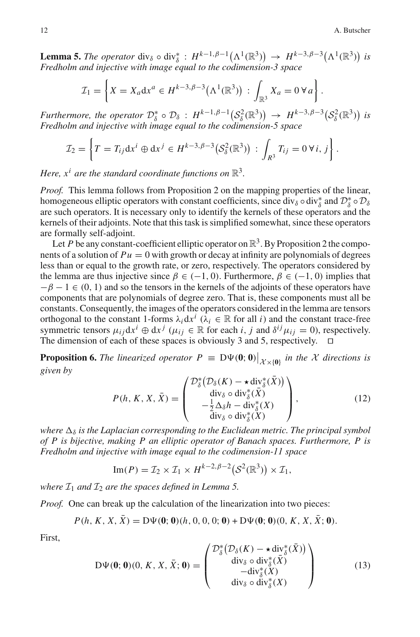**Lemma 5.** *The operator* div<sub>δ</sub>  $\circ$  div<sub>δ</sub><sup>\*</sup>:  $H^{k-1,\beta-1}(\Lambda^1(\mathbb{R}^3)) \rightarrow H^{k-3,\beta-3}(\Lambda^1(\mathbb{R}^3))$  is *Fredholm and injective with image equal to the codimension-3 space*

$$
\mathcal{I}_1 = \left\{ X = X_a \mathrm{d} x^a \in H^{k-3, \beta-3} \big( \Lambda^1(\mathbb{R}^3) \big) : \int_{\mathbb{R}^3} X_a = 0 \, \forall a \right\}.
$$

*Furthermore, the operator*  $\mathcal{D}_{\delta}^* \circ \mathcal{D}_{\delta}$  :  $H^{k-1,\beta-1}(\mathcal{S}_{\delta}^2(\mathbb{R}^3)) \to H^{k-3,\beta-3}(\mathcal{S}_{\delta}^2(\mathbb{R}^3))$  is *Fredholm and injective with image equal to the codimension-5 space*

$$
\mathcal{I}_2=\left\{T=T_{ij}\mathrm{d} x^i\oplus \mathrm{d} x^j\in H^{k-3,\beta-3}\big(\mathcal{S}_\delta^2(\mathbb{R}^3)\big)\,:\,\int_{R^3}T_{ij}=0\,\forall\,i,\,j\right\}.
$$

*Here,*  $x^i$  *are the standard coordinate functions on*  $\mathbb{R}^3$ *.* 

*Proof.* This lemma follows from Proposition 2 on the mapping properties of the linear, homogeneous elliptic operators with constant coefficients, since  $div_{\delta} \circ div_{\delta}^*$  and  $\mathcal{D}_{\delta}^* \circ \mathcal{D}_{\delta}$ are such operators. It is necessary only to identify the kernels of these operators and the kernels of their adjoints. Note that this task is simplified somewhat, since these operators are formally self-adjoint.

Let *P* be any constant-coefficient elliptic operator on  $\mathbb{R}^3$ . By Proposition 2 the components of a solution of  $Pu = 0$  with growth or decay at infinity are polynomials of degrees less than or equal to the growth rate, or zero, respectively. The operators considered by the lemma are thus injective since  $\beta \in (-1, 0)$ . Furthermore,  $\beta \in (-1, 0)$  implies that  $-\beta - 1 \in (0, 1)$  and so the tensors in the kernels of the adjoints of these operators have components that are polynomials of degree zero. That is, these components must all be constants. Consequently, the images of the operators considered in the lemma are tensors orthogonal to the constant 1-forms  $\lambda_i dx^i$  ( $\lambda_i \in \mathbb{R}$  for all *i*) and the constant trace-free symmetric tensors  $\mu_{ij} dx^i \oplus dx^j$  ( $\mu_{ij} \in \mathbb{R}$  for each *i*, *j* and  $\delta^{ij} \mu_{ij} = 0$ ), respectively. The dimension of each of these spaces is obviously 3 and 5, respectively.  $\Box$ 

**Proposition 6.** *The linearized operator*  $P \equiv D\Psi(\mathbf{0};\mathbf{0})\big|_{\mathcal{X}\times\{0\}}$  *in the*  $\mathcal X$  *directions is given by*

$$
P(h, K, X, \bar{X}) = \begin{pmatrix} \mathcal{D}_{\delta}^{*} \big( \mathcal{D}_{\delta}(K) - \star \operatorname{div}_{\delta}^{*}(\bar{X}) \big) \\ \operatorname{div}_{\delta} \circ \operatorname{div}_{\delta}^{*}(\bar{X}) \\ -\frac{1}{2} \Delta_{\delta} h - \operatorname{div}_{\delta}^{*}(X) \\ \operatorname{div}_{\delta} \circ \operatorname{div}_{\delta}^{*}(X) \end{pmatrix}, \tag{12}
$$

*where*  $\Delta_{\delta}$  *is the Laplacian corresponding to the Euclidean metric. The principal symbol of P is bijective, making P an elliptic operator of Banach spaces. Furthermore, P is Fredholm and injective with image equal to the codimension-11 space*

Im
$$
(P)
$$
 =  $\mathcal{I}_2 \times \mathcal{I}_1 \times H^{k-2,\beta-2}(\mathcal{S}^2(\mathbb{R}^3)) \times \mathcal{I}_1$ ,

*where*  $I_1$  *and*  $I_2$  *are the spaces defined in Lemma 5.* 

*Proof.* One can break up the calculation of the linearization into two pieces:

$$
P(h, K, X, \bar{X}) = D\Psi(\mathbf{0}; \mathbf{0})(h, 0, 0, 0; \mathbf{0}) + D\Psi(\mathbf{0}; \mathbf{0})(0, K, X, \bar{X}; \mathbf{0}).
$$

First,

$$
D\Psi(\mathbf{0};\mathbf{0})(0,K,X,\bar{X};\mathbf{0}) = \begin{pmatrix} \mathcal{D}_{\delta}^{*}\big(\mathcal{D}_{\delta}(K) - \star \operatorname{div}_{\delta}^{*}(\bar{X})\big) \\ \operatorname{div}_{\delta} \circ \operatorname{div}_{\delta}^{*}(\bar{X}) \\ -\operatorname{div}_{\delta}^{*}(X) \\ \operatorname{div}_{\delta} \circ \operatorname{div}_{\delta}^{*}(X) \end{pmatrix}
$$
(13)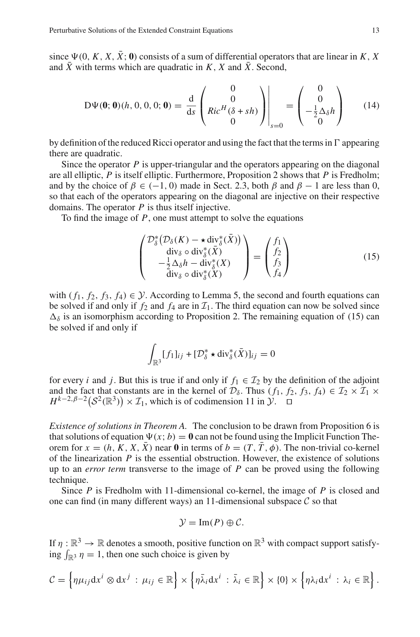since  $\Psi(0, K, X, \overline{X}$ ; **0**) consists of a sum of differential operators that are linear in *K*, *X* and  $\bar{X}$  with terms which are quadratic in *K*, *X* and  $\bar{X}$ . Second,

$$
D\Psi(\mathbf{0};\mathbf{0})(h, 0, 0, 0; \mathbf{0}) = \frac{d}{ds} \begin{pmatrix} 0 \\ 0 \\ Ric^H(\delta + sh) \\ 0 \end{pmatrix} \Big|_{s=0} = \begin{pmatrix} 0 \\ 0 \\ -\frac{1}{2}\Delta_{\delta}h \\ 0 \end{pmatrix}
$$
(14)

by definition of the reduced Ricci operator and using the fact that the terms in  $\Gamma$  appearing there are quadratic.

Since the operator *P* is upper-triangular and the operators appearing on the diagonal are all elliptic, *P* is itself elliptic. Furthermore, Proposition 2 shows that *P* is Fredholm; and by the choice of  $\beta \in (-1, 0)$  made in Sect. 2.3, both  $\beta$  and  $\beta - 1$  are less than 0, so that each of the operators appearing on the diagonal are injective on their respective domains. The operator *P* is thus itself injective.

To find the image of *P*, one must attempt to solve the equations

$$
\begin{pmatrix}\n\mathcal{D}_{\delta}^{*}\left(\mathcal{D}_{\delta}(K) - \star \operatorname{div}_{\delta}^{*}(\bar{X})\right) \\
\operatorname{div}_{\delta} \circ \operatorname{div}_{\delta}^{*}(\bar{X}) \\
-\frac{1}{2}\Delta_{\delta}h - \operatorname{div}_{\delta}^{*}(X) \\
\operatorname{div}_{\delta} \circ \operatorname{div}_{\delta}^{*}(X)\n\end{pmatrix} = \begin{pmatrix}\nf_{1} \\
f_{2} \\
f_{3} \\
f_{4}\n\end{pmatrix}
$$
\n(15)

with  $(f_1, f_2, f_3, f_4) \in \mathcal{Y}$ . According to Lemma 5, the second and fourth equations can be solved if and only if  $f_2$  and  $f_4$  are in  $\mathcal{I}_1$ . The third equation can now be solved since  $\Delta_{\delta}$  is an isomorphism according to Proposition 2. The remaining equation of (15) can be solved if and only if

$$
\int_{\mathbb{R}^3} [f_1]_{ij} + [\mathcal{D}^*_{\delta} \star \text{div}_{\delta}^* (\bar{X})]_{ij} = 0
$$

for every *i* and *j*. But this is true if and only if  $f_1 \in \mathcal{I}_2$  by the definition of the adjoint and the fact that constants are in the kernel of  $\mathcal{D}_{\delta}$ . Thus  $(f_1, f_2, f_3, f_4) \in \mathcal{I}_2 \times \mathcal{I}_1 \times$  $H^{k-2,\beta-2}(\mathcal{S}^2(\mathbb{R}^3)) \times \mathcal{I}_1$ , which is of codimension 11 in *Y*. □

*Existence of solutions in Theorem A.* The conclusion to be drawn from Proposition 6 is that solutions of equation  $\Psi(x; b) = \mathbf{0}$  can not be found using the Implicit Function Theorem for  $x = (h, K, X, \overline{X})$  near 0 in terms of  $b = (T, \overline{T}, \phi)$ . The non-trivial co-kernel of the linearization *P* is the essential obstruction. However, the existence of solutions up to an *error term* transverse to the image of *P* can be proved using the following technique.

Since *P* is Fredholm with 11-dimensional co-kernel, the image of *P* is closed and one can find (in many different ways) an 11-dimensional subspace  $C$  so that

$$
\mathcal{Y}=\operatorname{Im}(P)\oplus\mathcal{C}.
$$

If  $\eta : \mathbb{R}^3 \to \mathbb{R}$  denotes a smooth, positive function on  $\mathbb{R}^3$  with compact support satisfying  $\int_{\mathbb{R}^3} \eta = 1$ , then one such choice is given by

$$
C = \left\{ \eta \mu_{ij} \mathrm{d} x^i \otimes \mathrm{d} x^j \, : \, \mu_{ij} \in \mathbb{R} \right\} \times \left\{ \eta \bar{\lambda}_i \mathrm{d} x^i \, : \, \bar{\lambda}_i \in \mathbb{R} \right\} \times \left\{ 0 \right\} \times \left\{ \eta \lambda_i \mathrm{d} x^i \, : \, \lambda_i \in \mathbb{R} \right\}.
$$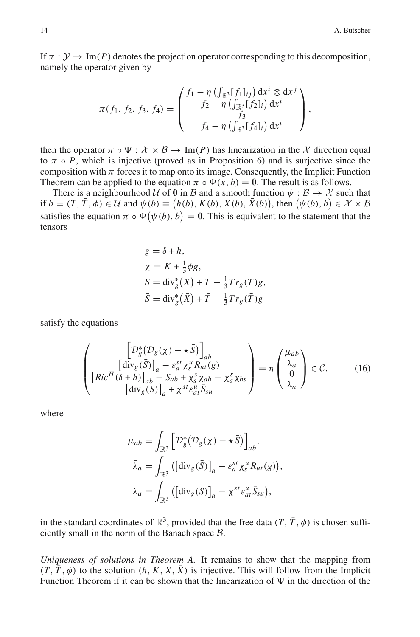If  $\pi : \mathcal{Y} \to \text{Im}(P)$  denotes the projection operator corresponding to this decomposition, namely the operator given by

$$
\pi(f_1, f_2, f_3, f_4) = \begin{pmatrix} f_1 - \eta \left( \int_{\mathbb{R}^3} [f_1]_{ij} \right) dx^i \otimes dx^j \\ f_2 - \eta \left( \int_{\mathbb{R}^3} [f_2]_i \right) dx^i \\ f_3 \\ f_4 - \eta \left( \int_{\mathbb{R}^3} [f_4]_i \right) dx^i \end{pmatrix},
$$

then the operator  $\pi \circ \Psi : \mathcal{X} \times \mathcal{B} \to \text{Im}(P)$  has linearization in the X direction equal to  $\pi \circ P$ , which is injective (proved as in Proposition 6) and is surjective since the composition with  $\pi$  forces it to map onto its image. Consequently, the Implicit Function Theorem can be applied to the equation  $\pi \circ \Psi(x, b) = 0$ . The result is as follows.

There is a neighbourhood *U* of **0** in *B* and a smooth function  $\psi : B \to X$  such that if  $b = (T, \overline{T}, \phi) \in \mathcal{U}$  and  $\psi(b) \equiv (h(b), K(b), X(b), \overline{X}(b))$ , then  $(\psi(b), b) \in \mathcal{X} \times \mathcal{B}$ satisfies the equation  $\pi \circ \Psi(\psi(b), b) = 0$ . This is equivalent to the statement that the tensors

$$
g = \delta + h,
$$
  
\n
$$
\chi = K + \frac{1}{3}\phi g,
$$
  
\n
$$
S = \text{div}_g^*(X) + T - \frac{1}{3}Tr_g(T)g,
$$
  
\n
$$
\bar{S} = \text{div}_g^*(\bar{X}) + \bar{T} - \frac{1}{3}Tr_g(\bar{T})g
$$

satisfy the equations

$$
\begin{pmatrix}\n\left[\mathcal{D}_{g}^{*}(\mathcal{D}_{g}(\chi)-\star\bar{S})\right]_{ab} \\
\left[\text{div}_{g}(\bar{S})\right]_{a}-\varepsilon_{a}^{st}\chi_{s}^{u}R_{ut}(g) \\
\left[\text{Ric}^{H}(\delta+h)\right]_{ab}-S_{ab}+\chi_{s}^{s}\chi_{ab}-\chi_{a}^{s}\chi_{bs} \\
\left[\text{div}_{g}(S)\right]_{a}+\chi^{st}\varepsilon_{at}^{u}\bar{S}_{su}\n\end{pmatrix}=\eta\begin{pmatrix}\n\mu_{ab} \\
\bar{\lambda}_{a} \\
0 \\
\lambda_{a}\n\end{pmatrix}\in\mathcal{C},\n\qquad(16)
$$

where

$$
\mu_{ab} = \int_{\mathbb{R}^3} \left[ \mathcal{D}_g^* (\mathcal{D}_g(\chi) - \star \bar{S}) \right]_{ab},
$$
  

$$
\bar{\lambda}_a = \int_{\mathbb{R}^3} \left( \left[ \text{div}_g(\bar{S}) \right]_a - \varepsilon_a^{st} \chi_s^u R_{ut}(g) \right),
$$
  

$$
\lambda_a = \int_{\mathbb{R}^3} \left( \left[ \text{div}_g(S) \right]_a - \chi^{st} \varepsilon_{at}^u \bar{S}_{su} \right),
$$

in the standard coordinates of  $\mathbb{R}^3$ , provided that the free data  $(T, \overline{T}, \phi)$  is chosen sufficiently small in the norm of the Banach space *B*.

*Uniqueness of solutions in Theorem A.* It remains to show that the mapping from  $(T, \overline{T}, \phi)$  to the solution  $(h, K, X, \overline{X})$  is injective. This will follow from the Implicit Function Theorem if it can be shown that the linearization of  $\Psi$  in the direction of the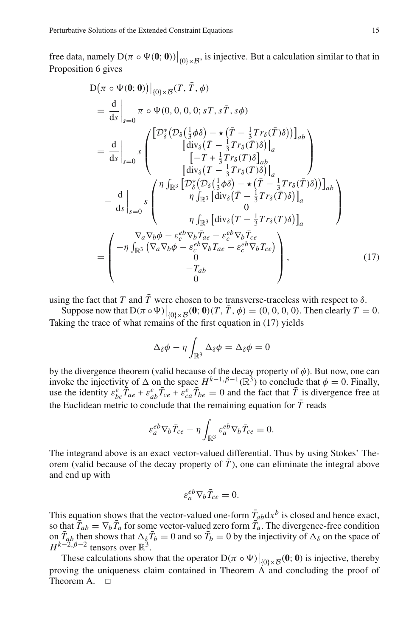free data, namely  $D(\pi \circ \Psi(\mathbf{0}; 0))|_{\{0\} \times \mathcal{B}}$ , is injective. But a calculation similar to that in Proposition 6 gives

$$
D(\pi \circ \Psi(\mathbf{0}; \mathbf{0}))|_{\{0\} \times B}(T, \bar{T}, \phi)
$$
\n
$$
= \frac{d}{ds} \Big|_{s=0} \pi \circ \Psi(0, 0, 0, 0; sT, s\bar{T}, s\phi)
$$
\n
$$
= \frac{d}{ds} \Big|_{s=0} s \begin{pmatrix} \left[ \mathcal{D}_{\delta}^{*} (\mathcal{D}_{\delta}(\frac{1}{3}\phi\delta) - \star (\bar{T} - \frac{1}{3}Tr_{\delta}(\bar{T})\delta) \right]_{ab} \\ \left[ \text{div}_{\delta} (\bar{T} - \frac{1}{3}Tr_{\delta}(\bar{T})\delta) \right]_{ab} \\ \left[ -T + \frac{1}{3}Tr_{\delta}(T)\delta \right]_{ab} \\ \left[ \text{div}_{\delta} (T - \frac{1}{3}Tr_{\delta}(T)\delta) \right]_{a} \end{pmatrix}
$$
\n
$$
- \frac{d}{ds} \Big|_{s=0} s \begin{pmatrix} \eta \int_{\mathbb{R}^{3}} \left[ \mathcal{D}_{\delta}^{*} (\mathcal{D}_{\delta}(\frac{1}{3}\phi\delta) - \star (\bar{T} - \frac{1}{3}Tr_{\delta}(\bar{T})\delta) \right]_{ab} \\ \eta \int_{\mathbb{R}^{3}} \left[ \text{div}_{\delta} (\bar{T} - \frac{1}{3}Tr_{\delta}(\bar{T})\delta) \right]_{a} \\ 0 \\ \eta \int_{\mathbb{R}^{3}} \left[ \text{div}_{\delta} (T - \frac{1}{3}Tr_{\delta}(T)\delta) \right]_{a} \end{pmatrix}
$$
\n
$$
= \begin{pmatrix} \nabla_{a} \nabla_{b} \phi - \varepsilon_{c}^{eb} \nabla_{b} \bar{T}_{ae} - \varepsilon_{c}^{eb} \nabla_{b} \bar{T}_{ce} \\ -\eta \int_{\mathbb{R}^{3}} (\nabla_{a} \nabla_{b} \phi - \varepsilon_{c}^{eb} \nabla_{b} T_{ae} - \varepsilon_{c}^{eb} \nabla_{b} T_{ce}) \\ 0 \\ -T_{ab} \end{pmatrix}, \qquad (17)
$$

using the fact that *T* and  $\overline{T}$  were chosen to be transverse-traceless with respect to  $\delta$ .

Suppose now that  $D(\pi \circ \Psi)|_{\{0\} \times \mathcal{B}}(\mathbf{0}; \mathbf{0})(T, \bar{T}, \phi) = (0, 0, 0, 0)$ . Then clearly  $T = 0$ . Taking the trace of what remains of the first equation in (17) yields

$$
\Delta_{\delta}\phi - \eta \int_{\mathbb{R}^3} \Delta_{\delta}\phi = \Delta_{\delta}\phi = 0
$$

by the divergence theorem (valid because of the decay property of  $\phi$ ). But now, one can invoke the injectivity of  $\Delta$  on the space  $H^{k-1,\beta-1}(\mathbb{R}^3)$  to conclude that  $\phi = 0$ . Finally, use the identity  $\varepsilon_{bc}^e \overline{T}_{ae} + \varepsilon_{ab}^e \overline{T}_{ce} + \overline{\varepsilon}_{ca}^e \overline{T}_{be} = 0$  and the fact that  $\overline{T}$  is divergence free at the Euclidean metric to conclude that the remaining equation for  $\bar{T}$  reads

$$
\varepsilon_a^{eb} \nabla_b \bar{T}_{ce} - \eta \int_{\mathbb{R}^3} \varepsilon_a^{eb} \nabla_b \bar{T}_{ce} = 0.
$$

The integrand above is an exact vector-valued differential. Thus by using Stokes' Theorem (valid because of the decay property of  $\overline{T}$ ), one can eliminate the integral above and end up with

$$
\varepsilon_a^{eb} \nabla_b \bar{T}_{ce} = 0.
$$

This equation shows that the vector-valued one-form  $\bar{T}_{ab}dx^b$  is closed and hence exact, so that  $\bar{T}_{ab} = \nabla_b \bar{T}_a$  for some vector-valued zero form  $\bar{T}_a$ . The divergence-free condition on  $\bar{T}_{ab}$  then shows that  $\Delta_{\hat{\delta}}\bar{T}_{b}=0$  and so  $\bar{T}_{b}=0$  by the injectivity of  $\Delta_{\delta}$  on the space of  $H^{k-2,\beta-2}$  tensors over  $\mathbb{R}^3$ .

These calculations show that the operator  $D(\pi \circ \Psi)|_{\{0\} \times \mathcal{B}}(\mathbf{0}; \mathbf{0})$  is injective, thereby proving the uniqueness claim contained in Theorem  $\overrightarrow{A}$  and concluding the proof of Theorem A.  $\Box$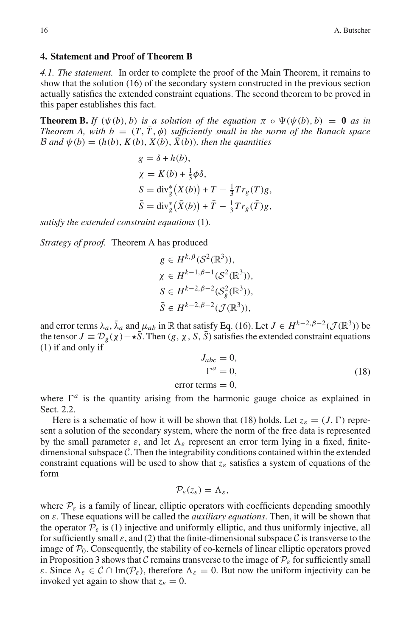#### **4. Statement and Proof of Theorem B**

*4.1. The statement.* In order to complete the proof of the Main Theorem, it remains to show that the solution (16) of the secondary system constructed in the previous section actually satisfies the extended constraint equations. The second theorem to be proved in this paper establishes this fact.

**Theorem B.** If  $(\psi(b), b)$  is a solution of the equation  $\pi \circ \Psi(\psi(b), b) = 0$  as in *Theorem A, with b* =  $(T, T, \phi)$  *sufficiently small in the norm of the Banach space B* and  $\psi$ (*b*) = (*h*(*b*), *K*(*b*), *X*(*b*), *X*(*b*)), *then the quantities* 

$$
g = \delta + h(b),
$$
  
\n
$$
\chi = K(b) + \frac{1}{3}\phi\delta,
$$
  
\n
$$
S = \text{div}_g^*\big(X(b)\big) + T - \frac{1}{3}Tr_g(T)g,
$$
  
\n
$$
\bar{S} = \text{div}_g^*\big(\bar{X}(b)\big) + \bar{T} - \frac{1}{3}Tr_g(\bar{T})g,
$$

*satisfy the extended constraint equations* (1)*.*

*Strategy of proof.* Theorem A has produced

$$
g \in H^{k, \beta}(\mathcal{S}^2(\mathbb{R}^3)),
$$
  
\n
$$
\chi \in H^{k-1, \beta-1}(\mathcal{S}^2(\mathbb{R}^3)),
$$
  
\n
$$
S \in H^{k-2, \beta-2}(\mathcal{S}^2_{g}(\mathbb{R}^3)),
$$
  
\n
$$
\bar{S} \in H^{k-2, \beta-2}(\mathcal{J}(\mathbb{R}^3)),
$$

and error terms  $\lambda_a$ ,  $\bar{\lambda}_a$  and  $\mu_{ab}$  in R that satisfy Eq. (16). Let  $J \in H^{k-2,\beta-2}(\mathcal{J}(\mathbb{R}^3))$  be the tensor  $J = D_g(x) - \star \overline{S}$ . Then  $(g, \chi, S, \overline{S})$  satisfies the extended constraint equations (1) if and only if

$$
J_{abc} = 0,
$$
  
\n
$$
\Gamma^a = 0,
$$
  
\nerror terms = 0, (18)

where  $\Gamma^a$  is the quantity arising from the harmonic gauge choice as explained in Sect. 2.2.

Here is a schematic of how it will be shown that (18) holds. Let  $z_{\varepsilon} = (J, \Gamma)$  represent a solution of the secondary system, where the norm of the free data is represented by the small parameter  $\varepsilon$ , and let  $\Lambda_{\varepsilon}$  represent an error term lying in a fixed, finitedimensional subspace *C*. Then the integrability conditions contained within the extended constraint equations will be used to show that  $z_{\varepsilon}$  satisfies a system of equations of the form

$$
\mathcal{P}_{\varepsilon}(z_{\varepsilon})=\Lambda_{\varepsilon},
$$

where  $P_{\varepsilon}$  is a family of linear, elliptic operators with coefficients depending smoothly on ε. These equations will be called the *auxiliary equations*. Then, it will be shown that the operator  $P_{\varepsilon}$  is (1) injective and uniformly elliptic, and thus uniformly injective, all for sufficiently small  $\varepsilon$ , and (2) that the finite-dimensional subspace C is transverse to the image of  $\mathcal{P}_0$ . Consequently, the stability of co-kernels of linear elliptic operators proved in Proposition 3 shows that *C* remains transverse to the image of  $\mathcal{P}_{\varepsilon}$  for sufficiently small ε. Since  $Λ<sub>ε</sub> ∈ C ∩ Im(P<sub>ε</sub>)$ , therefore  $Λ<sub>ε</sub> = 0$ . But now the uniform injectivity can be invoked yet again to show that  $z_{\varepsilon} = 0$ .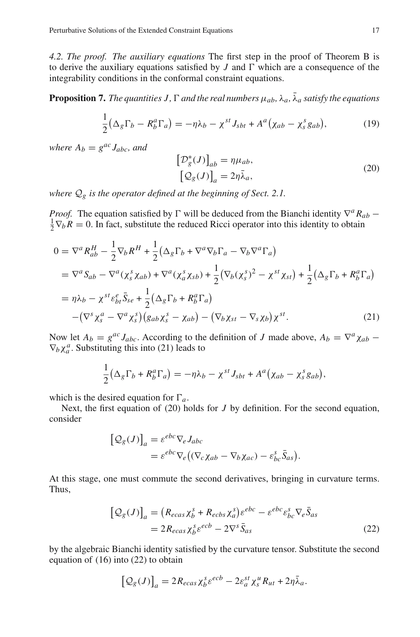*4.2. The proof. The auxiliary equations* The first step in the proof of Theorem B is to derive the auxiliary equations satisfied by  $J$  and  $\Gamma$  which are a consequence of the integrability conditions in the conformal constraint equations.

**Proposition 7.** The quantities J,  $\Gamma$  and the real numbers  $\mu_{ab}$ ,  $\lambda_a$ ,  $\bar{\lambda}_a$  satisfy the equations

$$
\frac{1}{2} \left( \Delta_g \Gamma_b - R_b^a \Gamma_a \right) = -\eta \lambda_b - \chi^{st} J_{sbt} + A^a \left( \chi_{ab} - \chi_s^s g_{ab} \right),\tag{19}
$$

*where*  $A_b = g^{ac} J_{abc}$ *, and* 

$$
\left[\mathcal{D}_{g}^{*}(J)\right]_{ab} = \eta \mu_{ab},
$$
  
\n
$$
\left[\mathcal{Q}_{g}(J)\right]_{a} = 2\eta \bar{\lambda}_{a},
$$
\n(20)

*where Q<sup>g</sup> is the operator defined at the beginning of Sect. 2.1.*

*Proof.* The equation satisfied by  $\Gamma$  will be deduced from the Bianchi identity  $\nabla^a R_{ab}$  −  $\frac{1}{2}\nabla_b R = 0$ . In fact, substitute the reduced Ricci operator into this identity to obtain

$$
0 = \nabla^a R_{ab}^H - \frac{1}{2} \nabla_b R^H + \frac{1}{2} (\Delta_g \Gamma_b + \nabla^a \nabla_b \Gamma_a - \nabla_b \nabla^a \Gamma_a)
$$
  
\n
$$
= \nabla^a S_{ab} - \nabla^a (\chi_s^s \chi_{ab}) + \nabla^a (\chi_a^s \chi_{sb}) + \frac{1}{2} (\nabla_b (\chi_s^s)^2 - \chi^{st} \chi_{st}) + \frac{1}{2} (\Delta_g \Gamma_b + R_b^a \Gamma_a)
$$
  
\n
$$
= \eta \lambda_b - \chi^{st} \varepsilon_{bt}^e \bar{S}_{se} + \frac{1}{2} (\Delta_g \Gamma_b + R_b^a \Gamma_a)
$$
  
\n
$$
- (\nabla^s \chi_s^a - \nabla^a \chi_s^s) (g_{ab} \chi_s^s - \chi_{ab}) - (\nabla_b \chi_{st} - \nabla_s \chi_b) \chi^{st}.
$$
 (21)

Now let  $A_b = g^{ac} J_{abc}$ . According to the definition of *J* made above,  $A_b = \nabla^a \chi_{ab}$  −  $\nabla_b \chi_a^a$ . Substituting this into (21) leads to

$$
\frac{1}{2}(\Delta_g \Gamma_b + R_b^a \Gamma_a) = -\eta \lambda_b - \chi^{st} J_{sbt} + A^a (\chi_{ab} - \chi_s^s g_{ab}),
$$

which is the desired equation for  $\Gamma_a$ .

Next, the first equation of (20) holds for *J* by definition. For the second equation, consider

$$
\begin{aligned} \left[\mathcal{Q}_{g}(J)\right]_{a} &= \varepsilon^{ebc} \nabla_{e} J_{abc} \\ &= \varepsilon^{ebc} \nabla_{e} \big( (\nabla_{c} \chi_{ab} - \nabla_{b} \chi_{ac}) - \varepsilon_{bc}^{s} \bar{S}_{as} \big). \end{aligned}
$$

At this stage, one must commute the second derivatives, bringing in curvature terms. Thus,

$$
\begin{aligned} \left[\mathcal{Q}_{g}(J)\right]_{a} &= \left(R_{ecas}\chi_{b}^{s} + R_{ecbs}\chi_{a}^{s}\right)\varepsilon^{ebc} - \varepsilon^{ebc}\varepsilon_{bc}^{s}\nabla_{e}\bar{S}_{as} \\ &= 2R_{ecas}\chi_{b}^{s}\varepsilon^{ecb} - 2\nabla^{s}\bar{S}_{as} \end{aligned} \tag{22}
$$

by the algebraic Bianchi identity satisfied by the curvature tensor. Substitute the second equation of (16) into (22) to obtain

$$
\left[\mathcal{Q}_{g}(J)\right]_{a}=2R_{ecas}\chi_{b}^{s}\varepsilon^{ecb}-2\varepsilon_{a}^{st}\chi_{s}^{u}R_{ut}+2\eta\bar{\lambda}_{a}.
$$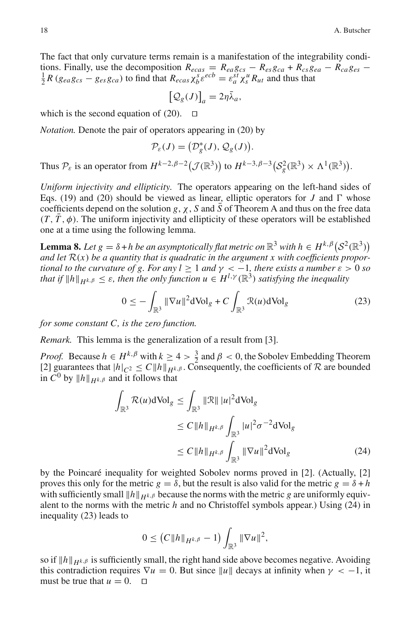The fact that only curvature terms remain is a manifestation of the integrability conditions. Finally, use the decomposition  $R_{ecas} = R_{ea}g_{cs} - R_{es}g_{ca} + R_{cs}g_{ea} - R_{ca}g_{es} - \frac{1}{2}R(g_{ea}g_{cs} - g_{es}g_{ca})$  to find that  $R_{ecas} \chi_b^s \varepsilon^{ecb} = \varepsilon_a^{st} \chi_s^u R_{ut}$  and thus that

$$
\left[\mathcal{Q}_{g}(J)\right]_{a}=2\eta\bar{\lambda}_{a},
$$

which is the second equation of  $(20)$ .  $\Box$ 

*Notation.* Denote the pair of operators appearing in (20) by

$$
\mathcal{P}_{\varepsilon}(J) = \big(\mathcal{D}^*_{g}(J), \mathcal{Q}_{g}(J)\big).
$$

Thus  $\mathcal{P}_{\varepsilon}$  is an operator from  $H^{k-2,\beta-2}(\mathcal{J}(\mathbb{R}^3))$  to  $H^{k-3,\beta-3}(\mathcal{S}_{g}^2(\mathbb{R}^3) \times \Lambda^1(\mathbb{R}^3)).$ 

*Uniform injectivity and ellipticity.* The operators appearing on the left-hand sides of Eqs. (19) and (20) should be viewed as linear, elliptic operators for *J* and  $\Gamma$  whose coefficients depend on the solution *g*,  $\chi$ , *S* and  $\bar{S}$  of Theorem A and thus on the free data  $(T, \overline{T}, \phi)$ . The uniform injectivity and ellipticity of these operators will be established one at a time using the following lemma.

**Lemma 8.** *Let*  $g = \delta + h$  *be an asymptotically flat metric on*  $\mathbb{R}^3$  *with*  $h \in H^{k, \beta} (S^2(\mathbb{R}^3))$ and let  $R(x)$  be a quantity that is quadratic in the argument x with coefficients propor*tional to the curvature of g. For any l* > 1 *and*  $\gamma$  < -1*, there exists a number*  $\varepsilon$  > 0 *so that if*  $||h||_{H^{k,\beta}} \leq \varepsilon$ , then the only function  $u \in H^{l,\gamma}(\mathbb{R}^3)$  satisfying the inequality

$$
0 \le -\int_{\mathbb{R}^3} \|\nabla u\|^2 d\mathrm{Vol}_g + C \int_{\mathbb{R}^3} \mathcal{R}(u) d\mathrm{Vol}_g \tag{23}
$$

*for some constant C, is the zero function.*

*Remark.* This lemma is the generalization of a result from [3].

*Proof.* Because  $h \in H^{k,\beta}$  with  $k \ge 4 > \frac{3}{2}$  and  $\beta < 0$ , the Sobolev Embedding Theorem [2] guarantees that  $|h|_{C^2} \leq C ||h||_{H^{k,\beta}}$ . Consequently, the coefficients of  $R$  are bounded in  $C^0$  by  $||h||_{H^{k,\beta}}$  and it follows that

$$
\int_{\mathbb{R}^3} \mathcal{R}(u) d\text{Vol}_g \le \int_{\mathbb{R}^3} ||\mathcal{R}|| |u|^2 d\text{Vol}_g
$$
\n
$$
\le C ||h||_{H^{k,\beta}} \int_{\mathbb{R}^3} |u|^2 \sigma^{-2} d\text{Vol}_g
$$
\n
$$
\le C ||h||_{H^{k,\beta}} \int_{\mathbb{R}^3} ||\nabla u||^2 d\text{Vol}_g
$$
\n(24)

by the Poincaré inequality for weighted Sobolev norms proved in [2]. (Actually, [2] proves this only for the metric  $g = \delta$ , but the result is also valid for the metric  $g = \delta + h$ with sufficiently small  $||h||_{H^k,\beta}$  because the norms with the metric *g* are uniformly equivalent to the norms with the metric *h* and no Christoffel symbols appear.) Using (24) in inequality (23) leads to

$$
0 \le (C \|h\|_{H^{k,\beta}} - 1) \int_{\mathbb{R}^3} \|\nabla u\|^2,
$$

so if  $||h||_{H^k,\beta}$  is sufficiently small, the right hand side above becomes negative. Avoiding this contradiction requires  $\nabla u = 0$ . But since  $||u||$  decays at infinity when  $\gamma < -1$ , it must be true that  $u = 0$ .  $\Box$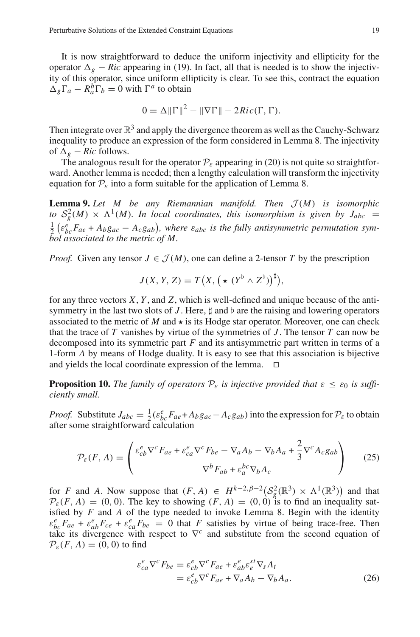It is now straightforward to deduce the uniform injectivity and ellipticity for the operator  $\Delta_g$  − *Ric* appearing in (19). In fact, all that is needed is to show the injectivity of this operator, since uniform ellipticity is clear. To see this, contract the equation  $\Delta_g \Gamma_a - R_a^b \Gamma_b = 0$  with  $\Gamma^a$  to obtain

$$
0 = \Delta ||\Gamma||^2 - ||\nabla \Gamma|| - 2Ric(\Gamma, \Gamma).
$$

Then integrate over  $\mathbb{R}^3$  and apply the divergence theorem as well as the Cauchy-Schwarz inequality to produce an expression of the form considered in Lemma 8. The injectivity of  $\Delta_g$  − *Ric* follows.

The analogous result for the operator  $P_{\varepsilon}$  appearing in (20) is not quite so straightforward. Another lemma is needed; then a lengthy calculation will transform the injectivity equation for  $P_{\varepsilon}$  into a form suitable for the application of Lemma 8.

**Lemma 9.** Let  $M$  be any Riemannian manifold. Then  $\mathcal{J}(M)$  is isomorphic *to*  $S_g^2(M) \times \Lambda^1(M)$ *. In local coordinates, this isomorphism is given by*  $J_{abc}$  =  $\frac{1}{2}$  ( $\varepsilon_{bc}^e$  F<sub>ae</sub> + *A<sub>b</sub>g<sub>ac</sub>* – *A<sub>c</sub>g<sub>ab</sub>*), where  $\varepsilon_{abc}$  is the fully antisymmetric permutation sym*bol associated to the metric of M.*

*Proof.* Given any tensor  $J \in \mathcal{J}(M)$ , one can define a 2-tensor T by the prescription

$$
J(X, Y, Z) = T(X, (\star (Y^{\flat} \wedge Z^{\flat}))^{\sharp}),
$$

for any three vectors *X*, *Y* , and *Z*, which is well-defined and unique because of the antisymmetry in the last two slots of  $J$ . Here,  $\sharp$  and  $\flat$  are the raising and lowering operators associated to the metric of  $M$  and  $\star$  is its Hodge star operator. Moreover, one can check that the trace of *T* vanishes by virtue of the symmetries of *J* . The tensor *T* can now be decomposed into its symmetric part *F* and its antisymmetric part written in terms of a 1-form *A* by means of Hodge duality. It is easy to see that this association is bijective and yields the local coordinate expression of the lemma.  $\Box$ 

**Proposition 10.** *The family of operators*  $P_{\varepsilon}$  *is injective provided that*  $\varepsilon \leq \varepsilon_0$  *is sufficiently small.*

*Proof.* Substitute  $J_{abc} = \frac{1}{2} (\varepsilon_{bc}^e F_{ae} + A_b g_{ac} - A_c g_{ab})$  into the expression for  $P_{\varepsilon}$  to obtain after some straightforward calculation

$$
\mathcal{P}_{\varepsilon}(F, A) = \begin{pmatrix} \varepsilon_{cb}^e \nabla^c F_{ae} + \varepsilon_{ca}^e \nabla^c F_{be} - \nabla_a A_b - \nabla_b A_a + \frac{2}{3} \nabla^c A_c g_{ab} \\ \nabla^b F_{ab} + \varepsilon_a^{bc} \nabla_b A_c \end{pmatrix} \tag{25}
$$

for *F* and *A*. Now suppose that  $(F, A) \in H^{k-2,\beta-2} \left( S_g^2(\mathbb{R}^3) \times \Lambda^1(\mathbb{R}^3) \right)$  and that  $\mathcal{P}_{\varepsilon}(F, A) = (0, 0)$ . The key to showing  $(F, A) = (0, 0)$  is to find an inequality satisfied by  $F$  and  $A$  of the type needed to invoke Lemma 8. Begin with the identity  $\varepsilon_{bc}^e F_{ae} + \varepsilon_{ab}^e F_{ce} + \varepsilon_{ca}^e F_{be} = 0$  that *F* satisfies by virtue of being trace-free. Then take its divergence with respect to  $\nabla^c$  and substitute from the second equation of  $\mathcal{P}_{\varepsilon}(F, A) = (0, 0)$  to find

$$
\varepsilon_{ca}^e \nabla^c F_{be} = \varepsilon_{cb}^e \nabla^c F_{ae} + \varepsilon_{ab}^e \varepsilon_c^{st} \nabla_s A_t \n= \varepsilon_{cb}^e \nabla^c F_{ae} + \nabla_a A_b - \nabla_b A_a.
$$
\n(26)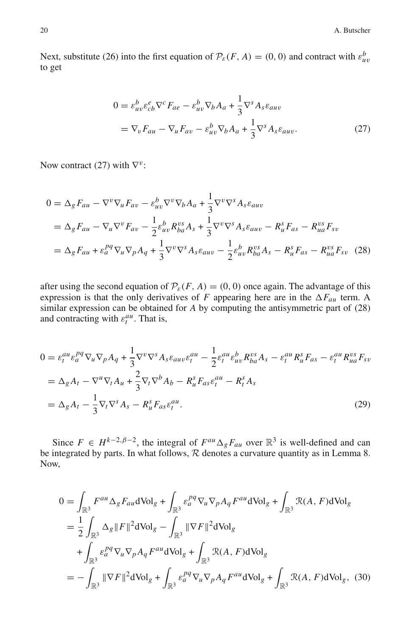Next, substitute (26) into the first equation of  $\mathcal{P}_{\varepsilon}(F, A) = (0, 0)$  and contract with  $\varepsilon_{uv}^b$ to get

$$
0 = \varepsilon_{uv}^b \varepsilon_{cb}^e \nabla^c F_{ae} - \varepsilon_{uv}^b \nabla_b A_a + \frac{1}{3} \nabla^s A_s \varepsilon_{auv}
$$
  
=  $\nabla_v F_{au} - \nabla_u F_{av} - \varepsilon_{uv}^b \nabla_b A_a + \frac{1}{3} \nabla^s A_s \varepsilon_{auv}.$  (27)

Now contract (27) with  $\nabla^v$ :

$$
0 = \Delta_g F_{au} - \nabla^v \nabla_u F_{av} - \varepsilon_{uv}^b \nabla^v \nabla_b A_a + \frac{1}{3} \nabla^v \nabla^s A_s \varepsilon_{auv}
$$
  
\n
$$
= \Delta_g F_{au} - \nabla_u \nabla^v F_{av} - \frac{1}{2} \varepsilon_{uv}^b R_{ba}^{vs} A_s + \frac{1}{3} \nabla^v \nabla^s A_s \varepsilon_{auv} - R_u^s F_{as} - R_{ua}^{vs} F_{sv}
$$
  
\n
$$
= \Delta_g F_{au} + \varepsilon_a^{pq} \nabla_u \nabla_p A_q + \frac{1}{3} \nabla^v \nabla^s A_s \varepsilon_{auv} - \frac{1}{2} \varepsilon_{uv}^b R_{ba}^{vs} A_s - R_u^s F_{as} - R_{ua}^{vs} F_{sv}
$$
(28)

after using the second equation of  $P_{\varepsilon}(F, A) = (0, 0)$  once again. The advantage of this expression is that the only derivatives of *F* appearing here are in the  $\Delta F_{au}$  term. A similar expression can be obtained for *A* by computing the antisymmetric part of (28) and contracting with  $\varepsilon_t^{au}$ . That is,

$$
0 = \varepsilon_t^{au} \varepsilon_a^{pq} \nabla_u \nabla_p A_q + \frac{1}{3} \nabla^v \nabla^s A_s \varepsilon_{auv} \varepsilon_t^{au} - \frac{1}{2} \varepsilon_t^{au} \varepsilon_{uv}^b R_{ba}^{vs} A_s - \varepsilon_t^{au} R_u^s F_{as} - \varepsilon_t^{au} R_{ua}^{vs} F_{sv}
$$
  
\n
$$
= \Delta_g A_t - \nabla^u \nabla_t A_u + \frac{2}{3} \nabla_t \nabla^b A_b - R_u^s F_{as} \varepsilon_t^{au} - R_t^s A_s
$$
  
\n
$$
= \Delta_g A_t - \frac{1}{3} \nabla_t \nabla^s A_s - R_u^s F_{as} \varepsilon_t^{au}.
$$
\n(29)

Since  $F \in H^{k-2,\beta-2}$ , the integral of  $F^{au} \Delta_g F_{au}$  over  $\mathbb{R}^3$  is well-defined and can be integrated by parts. In what follows,  $R$  denotes a curvature quantity as in Lemma 8. Now,

$$
0 = \int_{\mathbb{R}^3} F^{au} \Delta_g F_{au} d\text{Vol}_g + \int_{\mathbb{R}^3} \varepsilon_a^{pq} \nabla_u \nabla_p A_q F^{au} d\text{Vol}_g + \int_{\mathbb{R}^3} \mathcal{R}(A, F) d\text{Vol}_g
$$
  
\n
$$
= \frac{1}{2} \int_{\mathbb{R}^3} \Delta_g \|F\|^2 d\text{Vol}_g - \int_{\mathbb{R}^3} \|\nabla F\|^2 d\text{Vol}_g
$$
  
\n
$$
+ \int_{\mathbb{R}^3} \varepsilon_a^{pq} \nabla_u \nabla_p A_q F^{au} d\text{Vol}_g + \int_{\mathbb{R}^3} \mathcal{R}(A, F) d\text{Vol}_g
$$
  
\n
$$
= - \int_{\mathbb{R}^3} \|\nabla F\|^2 d\text{Vol}_g + \int_{\mathbb{R}^3} \varepsilon_a^{pq} \nabla_u \nabla_p A_q F^{au} d\text{Vol}_g + \int_{\mathbb{R}^3} \mathcal{R}(A, F) d\text{Vol}_g, (30)
$$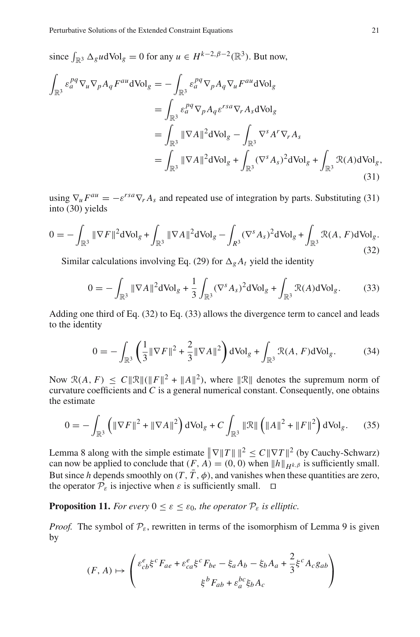since  $\int_{\mathbb{R}^3} \Delta_g u d\text{Vol}_g = 0$  for any  $u \in H^{k-2,\beta-2}(\mathbb{R}^3)$ . But now,

$$
\int_{\mathbb{R}^3} \varepsilon_a^{pq} \nabla_u \nabla_p A_q F^{au} d\text{Vol}_g = - \int_{\mathbb{R}^3} \varepsilon_a^{pq} \nabla_p A_q \nabla_u F^{au} d\text{Vol}_g
$$
\n
$$
= \int_{\mathbb{R}^3} \varepsilon_a^{pq} \nabla_p A_q \varepsilon^{rsa} \nabla_r A_s d\text{Vol}_g
$$
\n
$$
= \int_{\mathbb{R}^3} ||\nabla A||^2 d\text{Vol}_g - \int_{\mathbb{R}^3} \nabla^s A^r \nabla_r A_s
$$
\n
$$
= \int_{\mathbb{R}^3} ||\nabla A||^2 d\text{Vol}_g + \int_{\mathbb{R}^3} (\nabla^s A_s)^2 d\text{Vol}_g + \int_{\mathbb{R}^3} \mathcal{R}(A) d\text{Vol}_g,
$$
\n(31)

using  $\nabla_{\mu} F^{au} = -\varepsilon^{rsa} \nabla_{r} A_s$  and repeated use of integration by parts. Substituting (31) into (30) yields

$$
0 = -\int_{\mathbb{R}^3} \|\nabla F\|^2 d\text{Vol}_g + \int_{\mathbb{R}^3} \|\nabla A\|^2 d\text{Vol}_g - \int_{R^3} (\nabla^s A_s)^2 d\text{Vol}_g + \int_{\mathbb{R}^3} \mathcal{R}(A, F) d\text{Vol}_g.
$$
\n(32)

Similar calculations involving Eq. (29) for  $\Delta_{g}A_{t}$  yield the identity

$$
0 = -\int_{\mathbb{R}^3} \|\nabla A\|^2 d\text{Vol}_g + \frac{1}{3} \int_{\mathbb{R}^3} (\nabla^s A_s)^2 d\text{Vol}_g + \int_{\mathbb{R}^3} \mathcal{R}(A) d\text{Vol}_g. \tag{33}
$$

Adding one third of Eq. (32) to Eq. (33) allows the divergence term to cancel and leads to the identity

$$
0 = -\int_{\mathbb{R}^3} \left( \frac{1}{3} \|\nabla F\|^2 + \frac{2}{3} \|\nabla A\|^2 \right) d\text{Vol}_g + \int_{\mathbb{R}^3} \mathcal{R}(A, F) d\text{Vol}_g. \tag{34}
$$

Now  $\mathcal{R}(A, F) \leq C \|\mathcal{R}\| (\|F\|^2 + \|A\|^2)$ , where  $\|\mathcal{R}\|$  denotes the supremum norm of curvature coefficients and *C* is a general numerical constant. Consequently, one obtains the estimate

$$
0 = -\int_{\mathbb{R}^3} \left( \|\nabla F\|^2 + \|\nabla A\|^2 \right) d\text{Vol}_g + C \int_{\mathbb{R}^3} \|\mathcal{R}\| \left( \|A\|^2 + \|F\|^2 \right) d\text{Vol}_g. \tag{35}
$$

Lemma 8 along with the simple estimate  $\|\nabla \|T\| \|^2 \le C \|\nabla T\|^2$  (by Cauchy-Schwarz) can now be applied to conclude that  $(F, A) = (0, 0)$  when  $||h||_{H^{k, \beta}}$  is sufficiently small. But since *h* depends smoothly on  $(T, \overline{T}, \phi)$ , and vanishes when these quantities are zero, the operator  $P_{\varepsilon}$  is injective when  $\varepsilon$  is sufficiently small.  $\Box$ 

### **Proposition 11.** *For every*  $0 \leq \varepsilon \leq \varepsilon_0$ *, the operator*  $\mathcal{P}_{\varepsilon}$  *is elliptic.*

*Proof.* The symbol of  $P_{\varepsilon}$ , rewritten in terms of the isomorphism of Lemma 9 is given by

$$
(F, A) \mapsto \begin{pmatrix} \varepsilon_{cb}^e \xi^c F_{ae} + \varepsilon_{ca}^e \xi^c F_{be} - \xi_a A_b - \xi_b A_a + \frac{2}{3} \xi^c A_c g_{ab} \\ \xi^b F_{ab} + \varepsilon_a^{bc} \xi_b A_c \end{pmatrix}
$$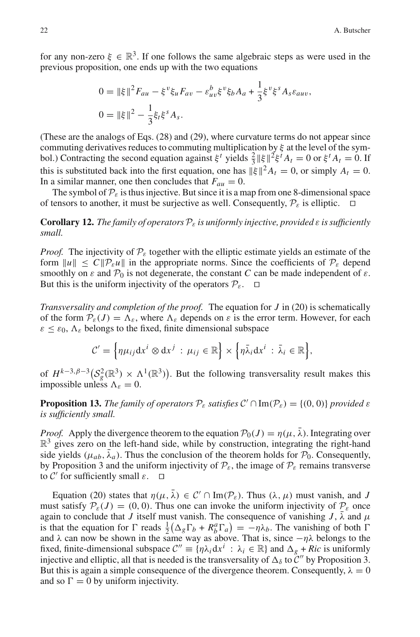for any non-zero  $\xi \in \mathbb{R}^3$ . If one follows the same algebraic steps as were used in the previous proposition, one ends up with the two equations

$$
0 = ||\xi||^2 F_{au} - \xi^v \xi_u F_{av} - \varepsilon_{uv}^b \xi^v \xi_b A_a + \frac{1}{3} \xi^v \xi^s A_s \varepsilon_{auv},
$$
  

$$
0 = ||\xi||^2 - \frac{1}{3} \xi_t \xi^s A_s.
$$

(These are the analogs of Eqs. (28) and (29), where curvature terms do not appear since commuting derivatives reduces to commuting multiplication by  $\xi$  at the level of the symbol.) Contracting the second equation against  $\xi^t$  yields  $\frac{2}{3} ||\xi||^2 \xi^t A_t = 0$  or  $\xi^t A_t = 0$ . If this is substituted back into the first equation, one has  $\|\xi\|^2 A_t = 0$ , or simply  $A_t = 0$ . In a similar manner, one then concludes that  $F_{au} = 0$ .

The symbol of  $\mathcal{P}_{\varepsilon}$  is thus injective. But since it is a map from one 8-dimensional space of tensors to another, it must be surjective as well. Consequently,  $P_{\varepsilon}$  is elliptic.

**Corollary 12.** *The family of operators*  $P_{\varepsilon}$  *is uniformly injective, provided*  $\varepsilon$  *is sufficiently small.*

*Proof.* The injectivity of  $P_{\varepsilon}$  together with the elliptic estimate yields an estimate of the form  $||u|| \leq C ||P_{\varepsilon}u||$  in the appropriate norms. Since the coefficients of  $P_{\varepsilon}$  depend smoothly on  $\varepsilon$  and  $\mathcal{P}_0$  is not degenerate, the constant *C* can be made independent of  $\varepsilon$ . But this is the uniform injectivity of the operators  $\mathcal{P}_{\varepsilon}$ .  $\Box$ 

*Transversality and completion of the proof.* The equation for *J* in (20) is schematically of the form  $P_{\varepsilon}(J) = \Lambda_{\varepsilon}$ , where  $\Lambda_{\varepsilon}$  depends on  $\varepsilon$  is the error term. However, for each  $\epsilon \leq \epsilon_0$ ,  $\Lambda_{\epsilon}$  belongs to the fixed, finite dimensional subspace

$$
\mathcal{C}'=\Big\{\eta\mu_{ij}\mathrm{d} x^i\otimes\mathrm{d} x^j\,:\,\mu_{ij}\in\mathbb{R}\Big\}\times\Big\{\eta\bar{\lambda}_i\mathrm{d} x^i\,:\,\bar{\lambda}_i\in\mathbb{R}\Big\},\,
$$

of  $H^{k-3,\beta-3}$  $(\mathcal{S}_g^2(\mathbb{R}^3) \times \Lambda^1(\mathbb{R}^3))$ . But the following transversality result makes this impossible unless  $\Lambda_{\varepsilon} = 0$ .

**Proposition 13.** *The family of operators*  $P_{\varepsilon}$  *satisfies*  $C' \cap Im(P_{\varepsilon}) = \{(0,0)\}$  *provided*  $\varepsilon$ *is sufficiently small.*

*Proof.* Apply the divergence theorem to the equation  $\mathcal{P}_0(J) = \eta(\mu, \bar{\lambda})$ . Integrating over  $\mathbb{R}^3$  gives zero on the left-hand side, while by construction, integrating the right-hand side yields ( $\mu_{ab}$ ,  $\bar{\lambda}_a$ ). Thus the conclusion of the theorem holds for  $\mathcal{P}_0$ . Consequently, by Proposition 3 and the uniform injectivity of  $\mathcal{P}_{\varepsilon}$ , the image of  $\mathcal{P}_{\varepsilon}$  remains transverse to  $C'$  for sufficiently small  $\varepsilon$ . to  $\mathcal{C}'$  for sufficiently small  $\varepsilon$ .

Equation (20) states that  $\eta(\mu, \lambda) \in C' \cap \text{Im}(\mathcal{P}_{\varepsilon})$ . Thus  $(\lambda, \mu)$  must vanish, and *J* must satisfy  $P_{\varepsilon}(J) = (0, 0)$ . Thus one can invoke the uniform injectivity of  $P_{\varepsilon}$  once again to conclude that *J* itself must vanish. The consequence of vanishing *J*,  $\bar{\lambda}$  and  $\mu$ is that the equation for  $\Gamma$  reads  $\frac{1}{2}(\Delta_g \Gamma_b + R_b^a \Gamma_a) = -\eta \lambda_b$ . The vanishing of both  $\Gamma$ and  $\lambda$  can now be shown in the same way as above. That is, since  $-\eta\lambda$  belongs to the fixed, finite-dimensional subspace  $\mathcal{C}'' \equiv \{\eta \lambda_i \mathrm{d} x^i : \lambda_i \in \mathbb{R} \}$  and  $\Delta_g + Ric$  is uniformly injective and elliptic, all that is needed is the transversality of  $\Delta_{\delta}$  to  $\tilde{\mathcal{C}}''$  by Proposition 3. But this is again a simple consequence of the divergence theorem. Consequently,  $\lambda = 0$ and so  $\Gamma = 0$  by uniform injectivity.